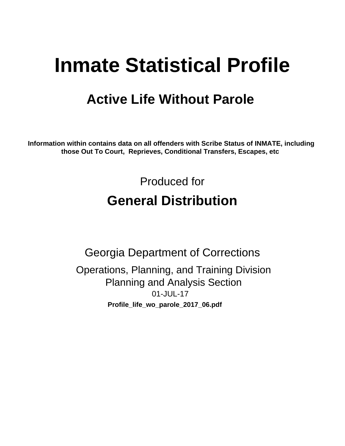# **Inmate Statistical Profile**

## **Active Life Without Parole**

Information within contains data on all offenders with Scribe Status of INMATE, including those Out To Court, Reprieves, Conditional Transfers, Escapes, etc

> Produced for **General Distribution**

**Georgia Department of Corrections** Operations, Planning, and Training Division **Planning and Analysis Section** 01-JUL-17 Profile\_life\_wo\_parole\_2017\_06.pdf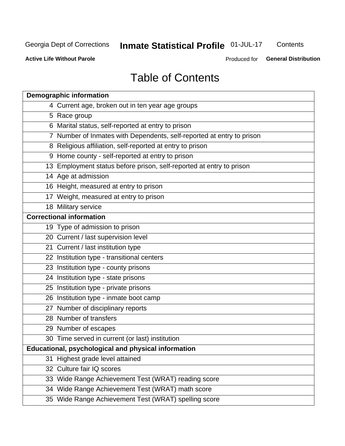## Inmate Statistical Profile 01-JUL-17

Contents

**Active Life Without Parole** 

Produced for General Distribution

## **Table of Contents**

|    | <b>Demographic information</b>                                        |
|----|-----------------------------------------------------------------------|
|    | 4 Current age, broken out in ten year age groups                      |
|    | 5 Race group                                                          |
|    | 6 Marital status, self-reported at entry to prison                    |
|    | 7 Number of Inmates with Dependents, self-reported at entry to prison |
|    | 8 Religious affiliation, self-reported at entry to prison             |
|    | 9 Home county - self-reported at entry to prison                      |
|    | 13 Employment status before prison, self-reported at entry to prison  |
|    | 14 Age at admission                                                   |
|    | 16 Height, measured at entry to prison                                |
|    | 17 Weight, measured at entry to prison                                |
|    | 18 Military service                                                   |
|    | <b>Correctional information</b>                                       |
|    | 19 Type of admission to prison                                        |
|    | 20 Current / last supervision level                                   |
|    | 21 Current / last institution type                                    |
|    | 22 Institution type - transitional centers                            |
|    | 23 Institution type - county prisons                                  |
|    | 24 Institution type - state prisons                                   |
|    | 25 Institution type - private prisons                                 |
|    | 26 Institution type - inmate boot camp                                |
|    | 27 Number of disciplinary reports                                     |
|    | 28 Number of transfers                                                |
|    | 29 Number of escapes                                                  |
|    | 30 Time served in current (or last) institution                       |
|    | Educational, psychological and physical information                   |
| 31 | Highest grade level attained                                          |
|    | 32 Culture fair IQ scores                                             |
|    | 33 Wide Range Achievement Test (WRAT) reading score                   |
|    | 34 Wide Range Achievement Test (WRAT) math score                      |
|    | 35 Wide Range Achievement Test (WRAT) spelling score                  |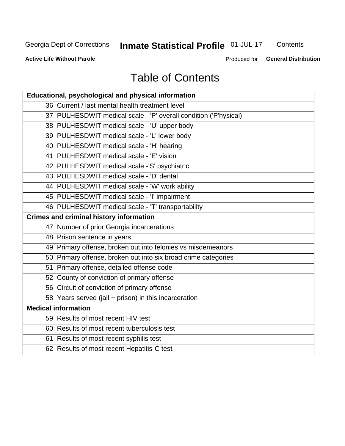## Inmate Statistical Profile 01-JUL-17

Contents

**Active Life Without Parole** 

Produced for General Distribution

## **Table of Contents**

| Educational, psychological and physical information              |
|------------------------------------------------------------------|
| 36 Current / last mental health treatment level                  |
| 37 PULHESDWIT medical scale - 'P' overall condition ('P'hysical) |
| 38 PULHESDWIT medical scale - 'U' upper body                     |
| 39 PULHESDWIT medical scale - 'L' lower body                     |
| 40 PULHESDWIT medical scale - 'H' hearing                        |
| 41 PULHESDWIT medical scale - 'E' vision                         |
| 42 PULHESDWIT medical scale -'S' psychiatric                     |
| 43 PULHESDWIT medical scale - 'D' dental                         |
| 44 PULHESDWIT medical scale - 'W' work ability                   |
| 45 PULHESDWIT medical scale - 'I' impairment                     |
| 46 PULHESDWIT medical scale - 'T' transportability               |
| <b>Crimes and criminal history information</b>                   |
| 47 Number of prior Georgia incarcerations                        |
| 48 Prison sentence in years                                      |
| 49 Primary offense, broken out into felonies vs misdemeanors     |
| 50 Primary offense, broken out into six broad crime categories   |
| 51 Primary offense, detailed offense code                        |
| 52 County of conviction of primary offense                       |
| 56 Circuit of conviction of primary offense                      |
| 58 Years served (jail + prison) in this incarceration            |
| <b>Medical information</b>                                       |
| 59 Results of most recent HIV test                               |
| 60 Results of most recent tuberculosis test                      |
| 61 Results of most recent syphilis test                          |
| 62 Results of most recent Hepatitis-C test                       |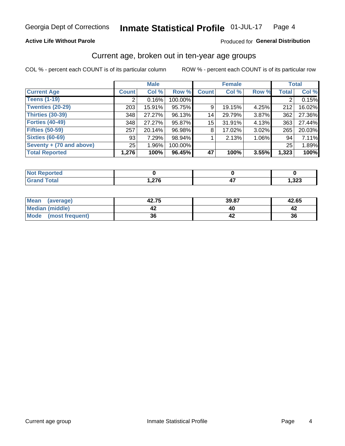### **Active Life Without Parole**

### Produced for General Distribution

## Current age, broken out in ten-year age groups

COL % - percent each COUNT is of its particular column

|                          | <b>Male</b>  |          |         | <b>Female</b> |        |       | <b>Total</b> |        |
|--------------------------|--------------|----------|---------|---------------|--------|-------|--------------|--------|
| <b>Current Age</b>       | <b>Count</b> | Col %    | Row %   | <b>Count</b>  | Col %  | Row % | <b>Total</b> | Col %  |
| <b>Teens (1-19)</b>      | ◠            | 0.16%    | 100.00% |               |        |       | 2            | 0.15%  |
| <b>Twenties (20-29)</b>  | 203          | 15.91%   | 95.75%  | 9             | 19.15% | 4.25% | 212          | 16.02% |
| Thirties (30-39)         | 348          | 27.27%   | 96.13%  | 14            | 29.79% | 3.87% | 362          | 27.36% |
| <b>Forties (40-49)</b>   | 348          | 27.27%   | 95.87%  | 15            | 31.91% | 4.13% | 363          | 27.44% |
| <b>Fifties (50-59)</b>   | 257          | 20.14%   | 96.98%  | 8             | 17.02% | 3.02% | 265          | 20.03% |
| <b>Sixties (60-69)</b>   | 93           | 7.29%    | 98.94%  |               | 2.13%  | 1.06% | 94           | 7.11%  |
| Seventy + (70 and above) | 25           | $1.96\%$ | 100.00% |               |        |       | 25           | 1.89%  |
| <b>Total Reported</b>    | 1,276        | 100%     | 96.45%  | 47            | 100%   | 3.55% | 1,323        | 100%   |

| ted                            |     |      |
|--------------------------------|-----|------|
| $f \wedge f \wedge f$<br>_____ | 27c | ,323 |

| <b>Mean</b><br>(average)       | 42.75 | 39.87 | 42.65 |
|--------------------------------|-------|-------|-------|
| Median (middle)                |       |       |       |
| <b>Mode</b><br>(most frequent) | 36    |       | 36    |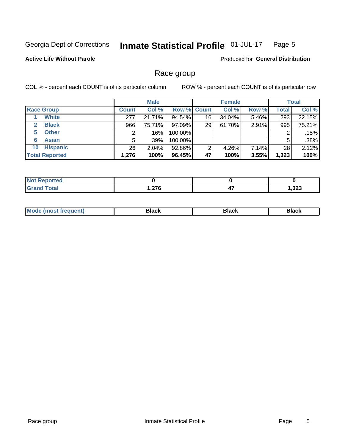#### Inmate Statistical Profile 01-JUL-17 Page 5

### **Active Life Without Parole**

**Produced for General Distribution** 

## Race group

COL % - percent each COUNT is of its particular column

|                              |              | <b>Male</b> |                    |    | <b>Female</b> |       |              | <b>Total</b> |  |
|------------------------------|--------------|-------------|--------------------|----|---------------|-------|--------------|--------------|--|
| <b>Race Group</b>            | <b>Count</b> | Col %       | <b>Row % Count</b> |    | Col %         | Row % | <b>Total</b> | Col %        |  |
| <b>White</b>                 | 277          | 21.71%      | 94.54%             | 16 | 34.04%        | 5.46% | 293          | 22.15%       |  |
| <b>Black</b><br>$\mathbf{2}$ | 966          | 75.71%      | 97.09%             | 29 | 61.70%        | 2.91% | 995          | 75.21%       |  |
| <b>Other</b><br>5.           |              | .16%        | 100.00%            |    |               |       | 2            | .15%         |  |
| <b>Asian</b><br>6            | 5            | .39%        | 100.00%            |    |               |       | 5            | .38%         |  |
| <b>Hispanic</b><br>10        | 26           | 2.04%       | 92.86%             | 2  | 4.26%         | 7.14% | 28           | 2.12%        |  |
| <b>Total Reported</b>        | 1,276        | 100%        | 96.45%             | 47 | 100%          | 3.55% | 1,323        | 100%         |  |

| <b>ported</b> |                 |                 |      |
|---------------|-----------------|-----------------|------|
| <b>Total</b>  | 27c<br>1 v<br>. | --<br>,,<br>- 1 | ,323 |

| маст |  | M |  |  |  |
|------|--|---|--|--|--|
|------|--|---|--|--|--|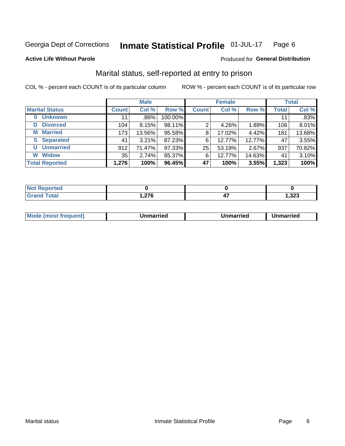#### Inmate Statistical Profile 01-JUL-17 Page 6

**Active Life Without Parole** 

Produced for General Distribution

## Marital status, self-reported at entry to prison

COL % - percent each COUNT is of its particular column

|                            | <b>Male</b>     |         |         |              | <b>Female</b> | <b>Total</b> |              |        |
|----------------------------|-----------------|---------|---------|--------------|---------------|--------------|--------------|--------|
| <b>Marital Status</b>      | <b>Count</b>    | Col %   | Row %   | <b>Count</b> | Col %         | Row %        | <b>Total</b> | Col %  |
| <b>Unknown</b><br>$\bf{0}$ | 11              | $.86\%$ | 100.00% |              |               |              | 11           | .83%   |
| <b>Divorced</b><br>D       | 104             | 8.15%   | 98.11%  | 2            | 4.26%         | 1.89%        | 106          | 8.01%  |
| <b>Married</b><br>М        | 173             | 13.56%  | 95.58%  | 8            | 17.02%        | 4.42%        | 181          | 13.68% |
| <b>Separated</b><br>S      | 41              | 3.21%   | 87.23%  | 6            | 12.77%        | 12.77%       | 47           | 3.55%  |
| <b>Unmarried</b><br>U      | 912             | 71.47%  | 97.33%  | 25           | 53.19%        | 2.67%        | 937          | 70.82% |
| <b>Widow</b><br>W          | 35 <sub>1</sub> | 2.74%   | 85.37%  | 6            | 12.77%        | 14.63%       | 41           | 3.10%  |
| <b>Total Reported</b>      | 1,276           | 100%    | 96.45%  | 47           | 100%          | 3.55%        | 1,323        | 100%   |

| <b>Not Reported</b>                      |              |        |
|------------------------------------------|--------------|--------|
| <b>Total</b><br>Grar<br><b>UI 41 I 4</b> | 270<br>.1210 | 323، ، |

|--|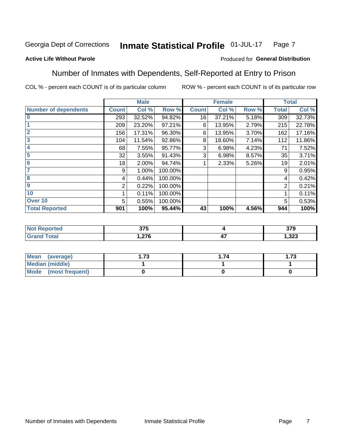#### Inmate Statistical Profile 01-JUL-17 Page 7

### **Active Life Without Parole**

### Produced for General Distribution

## Number of Inmates with Dependents, Self-Reported at Entry to Prison

COL % - percent each COUNT is of its particular column

|                             |              | <b>Male</b> |         |              | <b>Female</b> |       |              | <b>Total</b> |
|-----------------------------|--------------|-------------|---------|--------------|---------------|-------|--------------|--------------|
| <b>Number of dependents</b> | <b>Count</b> | Col %       | Row %   | <b>Count</b> | Col %         | Row % | <b>Total</b> | Col %        |
| $\bf{0}$                    | 293          | 32.52%      | 94.82%  | 16           | 37.21%        | 5.18% | 309          | 32.73%       |
|                             | 209          | 23.20%      | 97.21%  | 6            | 13.95%        | 2.79% | 215          | 22.78%       |
| $\overline{2}$              | 156          | 17.31%      | 96.30%  | 6            | 13.95%        | 3.70% | 162          | 17.16%       |
| 3                           | 104          | 11.54%      | 92.86%  | 8            | 18.60%        | 7.14% | 112          | 11.86%       |
| 4                           | 68           | 7.55%       | 95.77%  | 3            | 6.98%         | 4.23% | 71           | 7.52%        |
| 5                           | 32           | 3.55%       | 91.43%  | 3            | 6.98%         | 8.57% | 35           | 3.71%        |
| $6\phantom{1}6$             | 18           | 2.00%       | 94.74%  |              | 2.33%         | 5.26% | 19           | 2.01%        |
| 7                           | 9            | 1.00%       | 100.00% |              |               |       | 9            | 0.95%        |
| $\overline{\mathbf{8}}$     | 4            | 0.44%       | 100.00% |              |               |       | 4            | 0.42%        |
| $\boldsymbol{9}$            | 2            | 0.22%       | 100.00% |              |               |       | 2            | 0.21%        |
| 10                          |              | 0.11%       | 100.00% |              |               |       |              | 0.11%        |
| Over 10                     | 5            | 0.55%       | 100.00% |              |               |       | 5            | 0.53%        |
| <b>Total Reported</b>       | 901          | 100%        | 95.44%  | 43           | 100%          | 4.56% | 944          | 100%         |

| τeυ  | $- - -$<br><b>JIL</b> |              | $- - -$<br>ט וע |
|------|-----------------------|--------------|-----------------|
| υιαι | <b>270</b>            | $\mathbf{r}$ | ົດດດ            |
|      | . 21 U                | - 1          | د ∡د. ا         |

| Mean (average)          | 70 | . 74 | 72<br>I . / J |
|-------------------------|----|------|---------------|
| Median (middle)         |    |      |               |
| Mode<br>(most frequent) |    |      |               |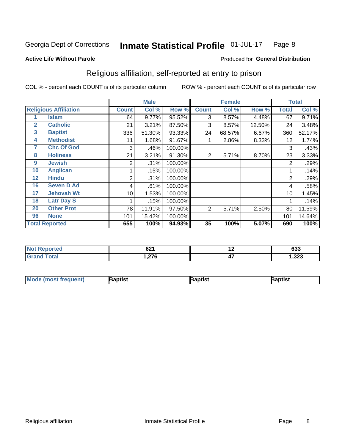#### Inmate Statistical Profile 01-JUL-17 Page 8

#### **Active Life Without Parole**

### Produced for General Distribution

## Religious affiliation, self-reported at entry to prison

COL % - percent each COUNT is of its particular column

|              |                              |              | <b>Male</b> |         |                | <b>Female</b> |        |       | <b>Total</b> |
|--------------|------------------------------|--------------|-------------|---------|----------------|---------------|--------|-------|--------------|
|              | <b>Religious Affiliation</b> | <b>Count</b> | Col %       | Row %   | <b>Count</b>   | Col %         | Row %  | Total | Col %        |
|              | <b>Islam</b>                 | 64           | 9.77%       | 95.52%  | 3              | 8.57%         | 4.48%  | 67    | 9.71%        |
| $\mathbf{2}$ | <b>Catholic</b>              | 21           | 3.21%       | 87.50%  | 3              | 8.57%         | 12.50% | 24    | 3.48%        |
| 3            | <b>Baptist</b>               | 336          | 51.30%      | 93.33%  | 24             | 68.57%        | 6.67%  | 360   | 52.17%       |
| 4            | <b>Methodist</b>             | 11           | 1.68%       | 91.67%  |                | 2.86%         | 8.33%  | 12    | 1.74%        |
| 7            | <b>Chc Of God</b>            | 3            | .46%        | 100.00% |                |               |        | 3     | .43%         |
| 8            | <b>Holiness</b>              | 21           | 3.21%       | 91.30%  | $\overline{2}$ | 5.71%         | 8.70%  | 23    | 3.33%        |
| 9            | <b>Jewish</b>                | 2            | .31%        | 100.00% |                |               |        | 2     | .29%         |
| 10           | <b>Anglican</b>              |              | .15%        | 100.00% |                |               |        |       | .14%         |
| 12           | <b>Hindu</b>                 | 2            | .31%        | 100.00% |                |               |        | 2     | .29%         |
| 16           | <b>Seven D Ad</b>            | 4            | .61%        | 100.00% |                |               |        | 4     | .58%         |
| 17           | <b>Jehovah Wt</b>            | 10           | 1.53%       | 100.00% |                |               |        | 10    | 1.45%        |
| 18           | <b>Latr Day S</b>            |              | .15%        | 100.00% |                |               |        |       | .14%         |
| 20           | <b>Other Prot</b>            | 78           | 11.91%      | 97.50%  | 2              | 5.71%         | 2.50%  | 80    | 11.59%       |
| 96           | <b>None</b>                  | 101          | 15.42%      | 100.00% |                |               |        | 101   | 14.64%       |
|              | <b>Total Reported</b>        | 655          | 100%        | 94.93%  | 35             | 100%          | 5.07%  | 690   | 100%         |

| rtea | <b>CO1</b>      | . . | <b>caa</b> |
|------|-----------------|-----|------------|
| .    | UŁ I            |     | დაა        |
|      | $\sim$<br>، ، ۲ | 47  | 1,323      |

| <b>Mode (most frequent)</b> | 3aptist | 3aptist | Baptist |
|-----------------------------|---------|---------|---------|
|-----------------------------|---------|---------|---------|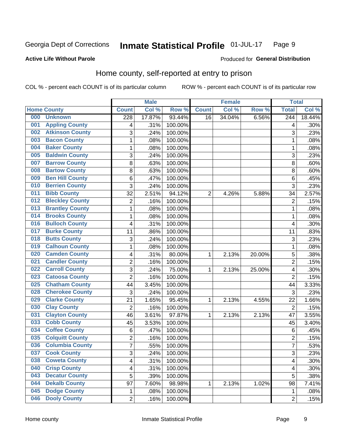#### **Inmate Statistical Profile 01-JUL-17** Page 9

### **Active Life Without Parole**

### Produced for General Distribution

## Home county, self-reported at entry to prison

COL % - percent each COUNT is of its particular column

|     |                        |                         | <b>Male</b> |         |              | <b>Female</b> |        | <b>Total</b>     |        |
|-----|------------------------|-------------------------|-------------|---------|--------------|---------------|--------|------------------|--------|
|     | <b>Home County</b>     | <b>Count</b>            | Col %       | Row %   | <b>Count</b> | Col %         | Row %  | <b>Total</b>     | Col %  |
| 000 | <b>Unknown</b>         | $\overline{228}$        | 17.87%      | 93.44%  | 16           | 34.04%        | 6.56%  | $\overline{244}$ | 18.44% |
| 001 | <b>Appling County</b>  | 4                       | .31%        | 100.00% |              |               |        | 4                | .30%   |
| 002 | <b>Atkinson County</b> | 3                       | .24%        | 100.00% |              |               |        | 3                | .23%   |
| 003 | <b>Bacon County</b>    | $\mathbf 1$             | .08%        | 100.00% |              |               |        | 1                | .08%   |
| 004 | <b>Baker County</b>    | $\mathbf 1$             | .08%        | 100.00% |              |               |        | 1                | .08%   |
| 005 | <b>Baldwin County</b>  | 3                       | .24%        | 100.00% |              |               |        | 3                | .23%   |
| 007 | <b>Barrow County</b>   | 8                       | .63%        | 100.00% |              |               |        | 8                | .60%   |
| 008 | <b>Bartow County</b>   | 8                       | .63%        | 100.00% |              |               |        | 8                | .60%   |
| 009 | <b>Ben Hill County</b> | 6                       | .47%        | 100.00% |              |               |        | 6                | .45%   |
| 010 | <b>Berrien County</b>  | 3                       | .24%        | 100.00% |              |               |        | 3                | .23%   |
| 011 | <b>Bibb County</b>     | 32                      | 2.51%       | 94.12%  | 2            | 4.26%         | 5.88%  | 34               | 2.57%  |
| 012 | <b>Bleckley County</b> | 2                       | .16%        | 100.00% |              |               |        | $\overline{2}$   | .15%   |
| 013 | <b>Brantley County</b> | $\mathbf 1$             | .08%        | 100.00% |              |               |        | 1                | .08%   |
| 014 | <b>Brooks County</b>   | $\mathbf 1$             | .08%        | 100.00% |              |               |        | 1                | .08%   |
| 016 | <b>Bulloch County</b>  | 4                       | .31%        | 100.00% |              |               |        | 4                | .30%   |
| 017 | <b>Burke County</b>    | 11                      | .86%        | 100.00% |              |               |        | 11               | .83%   |
| 018 | <b>Butts County</b>    | 3                       | .24%        | 100.00% |              |               |        | 3                | .23%   |
| 019 | <b>Calhoun County</b>  | 1                       | .08%        | 100.00% |              |               |        | 1                | .08%   |
| 020 | <b>Camden County</b>   | 4                       | .31%        | 80.00%  | 1            | 2.13%         | 20.00% | 5                | .38%   |
| 021 | <b>Candler County</b>  | 2                       | .16%        | 100.00% |              |               |        | $\overline{2}$   | .15%   |
| 022 | <b>Carroll County</b>  | 3                       | .24%        | 75.00%  | 1            | 2.13%         | 25.00% | 4                | .30%   |
| 023 | <b>Catoosa County</b>  | $\overline{2}$          | .16%        | 100.00% |              |               |        | $\overline{2}$   | .15%   |
| 025 | <b>Chatham County</b>  | 44                      | 3.45%       | 100.00% |              |               |        | 44               | 3.33%  |
| 028 | <b>Cherokee County</b> | 3                       | .24%        | 100.00% |              |               |        | 3                | .23%   |
| 029 | <b>Clarke County</b>   | 21                      | 1.65%       | 95.45%  | 1            | 2.13%         | 4.55%  | 22               | 1.66%  |
| 030 | <b>Clay County</b>     | $\overline{2}$          | .16%        | 100.00% |              |               |        | $\overline{2}$   | .15%   |
| 031 | <b>Clayton County</b>  | 46                      | 3.61%       | 97.87%  | 1            | 2.13%         | 2.13%  | 47               | 3.55%  |
| 033 | <b>Cobb County</b>     | 45                      | 3.53%       | 100.00% |              |               |        | 45               | 3.40%  |
| 034 | <b>Coffee County</b>   | 6                       | .47%        | 100.00% |              |               |        | 6                | .45%   |
| 035 | <b>Colquitt County</b> | 2                       | .16%        | 100.00% |              |               |        | $\overline{2}$   | .15%   |
| 036 | <b>Columbia County</b> | $\overline{7}$          | .55%        | 100.00% |              |               |        | 7                | .53%   |
| 037 | <b>Cook County</b>     | 3                       | .24%        | 100.00% |              |               |        | 3                | .23%   |
| 038 | <b>Coweta County</b>   | $\overline{\mathbf{4}}$ | .31%        | 100.00% |              |               |        | 4                | .30%   |
| 040 | <b>Crisp County</b>    | 4                       | .31%        | 100.00% |              |               |        | 4                | .30%   |
| 043 | <b>Decatur County</b>  | 5                       | .39%        | 100.00% |              |               |        | 5                | .38%   |
| 044 | <b>Dekalb County</b>   | 97                      | 7.60%       | 98.98%  | 1            | 2.13%         | 1.02%  | 98               | 7.41%  |
| 045 | <b>Dodge County</b>    | 1                       | .08%        | 100.00% |              |               |        | 1                | .08%   |
| 046 | <b>Dooly County</b>    | $\overline{c}$          | .16%        | 100.00% |              |               |        | $\overline{2}$   | .15%   |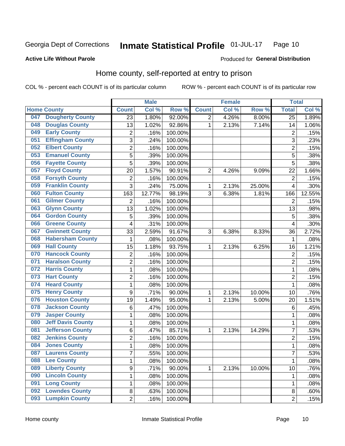#### Inmate Statistical Profile 01-JUL-17 Page 10

### **Active Life Without Parole**

### Produced for General Distribution

## Home county, self-reported at entry to prison

COL % - percent each COUNT is of its particular column

|     |                          |                  | <b>Male</b> |         |                | <b>Female</b> |        | <b>Total</b>    |        |
|-----|--------------------------|------------------|-------------|---------|----------------|---------------|--------|-----------------|--------|
|     | <b>Home County</b>       | <b>Count</b>     | Col %       | Row %   | <b>Count</b>   | Col %         | Row %  | <b>Total</b>    | Col %  |
| 047 | <b>Dougherty County</b>  | 23               | 1.80%       | 92.00%  | $\overline{2}$ | 4.26%         | 8.00%  | $\overline{25}$ | 1.89%  |
| 048 | <b>Douglas County</b>    | 13               | 1.02%       | 92.86%  | 1              | 2.13%         | 7.14%  | 14              | 1.06%  |
| 049 | <b>Early County</b>      | $\mathbf 2$      | .16%        | 100.00% |                |               |        | $\overline{2}$  | .15%   |
| 051 | <b>Effingham County</b>  | 3                | .24%        | 100.00% |                |               |        | 3               | .23%   |
| 052 | <b>Elbert County</b>     | $\overline{2}$   | .16%        | 100.00% |                |               |        | $\overline{2}$  | .15%   |
| 053 | <b>Emanuel County</b>    | 5                | .39%        | 100.00% |                |               |        | 5               | .38%   |
| 056 | <b>Fayette County</b>    | 5                | .39%        | 100.00% |                |               |        | 5               | .38%   |
| 057 | <b>Floyd County</b>      | 20               | 1.57%       | 90.91%  | $\overline{2}$ | 4.26%         | 9.09%  | 22              | 1.66%  |
| 058 | <b>Forsyth County</b>    | $\mathbf 2$      | .16%        | 100.00% |                |               |        | $\overline{2}$  | .15%   |
| 059 | <b>Franklin County</b>   | 3                | .24%        | 75.00%  | 1              | 2.13%         | 25.00% | $\overline{4}$  | .30%   |
| 060 | <b>Fulton County</b>     | 163              | 12.77%      | 98.19%  | 3              | 6.38%         | 1.81%  | 166             | 12.55% |
| 061 | <b>Gilmer County</b>     | $\overline{2}$   | .16%        | 100.00% |                |               |        | $\overline{2}$  | .15%   |
| 063 | <b>Glynn County</b>      | 13               | 1.02%       | 100.00% |                |               |        | 13              | .98%   |
| 064 | <b>Gordon County</b>     | 5                | .39%        | 100.00% |                |               |        | 5               | .38%   |
| 066 | <b>Greene County</b>     | 4                | .31%        | 100.00% |                |               |        | $\overline{4}$  | .30%   |
| 067 | <b>Gwinnett County</b>   | 33               | 2.59%       | 91.67%  | 3              | 6.38%         | 8.33%  | 36              | 2.72%  |
| 068 | <b>Habersham County</b>  | 1                | .08%        | 100.00% |                |               |        | 1               | .08%   |
| 069 | <b>Hall County</b>       | 15               | 1.18%       | 93.75%  | 1              | 2.13%         | 6.25%  | 16              | 1.21%  |
| 070 | <b>Hancock County</b>    | $\mathbf 2$      | .16%        | 100.00% |                |               |        | $\overline{2}$  | .15%   |
| 071 | <b>Haralson County</b>   | $\overline{2}$   | .16%        | 100.00% |                |               |        | $\overline{2}$  | .15%   |
| 072 | <b>Harris County</b>     | $\mathbf 1$      | .08%        | 100.00% |                |               |        | 1               | .08%   |
| 073 | <b>Hart County</b>       | $\overline{2}$   | .16%        | 100.00% |                |               |        | $\overline{2}$  | .15%   |
| 074 | <b>Heard County</b>      | $\mathbf{1}$     | .08%        | 100.00% |                |               |        | 1               | .08%   |
| 075 | <b>Henry County</b>      | $\boldsymbol{9}$ | .71%        | 90.00%  | 1              | 2.13%         | 10.00% | 10              | .76%   |
| 076 | <b>Houston County</b>    | 19               | 1.49%       | 95.00%  | 1              | 2.13%         | 5.00%  | 20              | 1.51%  |
| 078 | <b>Jackson County</b>    | 6                | .47%        | 100.00% |                |               |        | 6               | .45%   |
| 079 | <b>Jasper County</b>     | $\mathbf 1$      | .08%        | 100.00% |                |               |        | 1               | .08%   |
| 080 | <b>Jeff Davis County</b> | $\mathbf 1$      | .08%        | 100.00% |                |               |        | 1               | .08%   |
| 081 | <b>Jefferson County</b>  | 6                | .47%        | 85.71%  | 1              | 2.13%         | 14.29% | $\overline{7}$  | .53%   |
| 082 | <b>Jenkins County</b>    | $\overline{c}$   | .16%        | 100.00% |                |               |        | $\overline{2}$  | .15%   |
| 084 | <b>Jones County</b>      | $\mathbf{1}$     | .08%        | 100.00% |                |               |        | 1               | .08%   |
| 087 | <b>Laurens County</b>    | 7                | .55%        | 100.00% |                |               |        | $\overline{7}$  | .53%   |
| 088 | <b>Lee County</b>        | 1                | .08%        | 100.00% |                |               |        | 1               | .08%   |
| 089 | <b>Liberty County</b>    | 9                | .71%        | 90.00%  | 1              | 2.13%         | 10.00% | 10              | .76%   |
| 090 | <b>Lincoln County</b>    | $\mathbf{1}$     | .08%        | 100.00% |                |               |        | 1               | .08%   |
| 091 | <b>Long County</b>       | $\mathbf 1$      | .08%        | 100.00% |                |               |        | 1               | .08%   |
| 092 | <b>Lowndes County</b>    | 8                | .63%        | 100.00% |                |               |        | $\bf 8$         | .60%   |
| 093 | <b>Lumpkin County</b>    | $\overline{2}$   | .16%        | 100.00% |                |               |        | $\overline{2}$  | .15%   |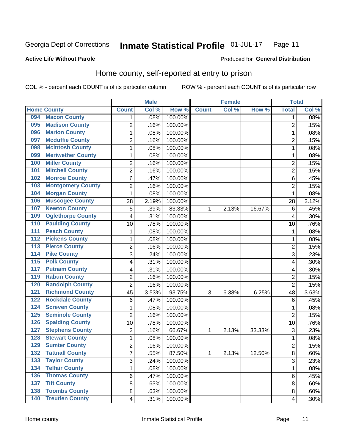#### **Inmate Statistical Profile 01-JUL-17** Page 11

Produced for General Distribution

#### **Active Life Without Parole**

### Home county, self-reported at entry to prison

COL % - percent each COUNT is of its particular column

|                    |                          |                         | <b>Male</b> |         |              | <b>Female</b> |        | <b>Total</b>   |       |
|--------------------|--------------------------|-------------------------|-------------|---------|--------------|---------------|--------|----------------|-------|
| <b>Home County</b> |                          | <b>Count</b>            | Col %       | Row %   | <b>Count</b> | Col %         | Row %  | <b>Total</b>   | Col % |
| 094                | <b>Macon County</b>      | 1                       | .08%        | 100.00% |              |               |        | 1              | .08%  |
| 095                | <b>Madison County</b>    | $\overline{2}$          | .16%        | 100.00% |              |               |        | $\overline{2}$ | .15%  |
| 096                | <b>Marion County</b>     | $\mathbf{1}$            | .08%        | 100.00% |              |               |        | 1              | .08%  |
| 097                | <b>Mcduffie County</b>   | $\mathbf 2$             | .16%        | 100.00% |              |               |        | 2              | .15%  |
| 098                | <b>Mcintosh County</b>   | $\mathbf 1$             | .08%        | 100.00% |              |               |        | 1              | .08%  |
| 099                | <b>Meriwether County</b> | 1                       | .08%        | 100.00% |              |               |        | 1              | .08%  |
| 100                | <b>Miller County</b>     | $\overline{2}$          | .16%        | 100.00% |              |               |        | $\overline{2}$ | .15%  |
| 101                | <b>Mitchell County</b>   | $\overline{2}$          | .16%        | 100.00% |              |               |        | $\overline{2}$ | .15%  |
| 102                | <b>Monroe County</b>     | 6                       | .47%        | 100.00% |              |               |        | 6              | .45%  |
| 103                | <b>Montgomery County</b> | $\mathbf 2$             | .16%        | 100.00% |              |               |        | 2              | .15%  |
| 104                | <b>Morgan County</b>     | $\mathbf 1$             | .08%        | 100.00% |              |               |        | 1              | .08%  |
| 106                | <b>Muscogee County</b>   | 28                      | 2.19%       | 100.00% |              |               |        | 28             | 2.12% |
| 107                | <b>Newton County</b>     | 5                       | .39%        | 83.33%  | 1            | 2.13%         | 16.67% | 6              | .45%  |
| 109                | <b>Oglethorpe County</b> | 4                       | .31%        | 100.00% |              |               |        | 4              | .30%  |
| 110                | <b>Paulding County</b>   | 10                      | .78%        | 100.00% |              |               |        | 10             | .76%  |
| 111                | <b>Peach County</b>      | $\mathbf 1$             | .08%        | 100.00% |              |               |        | 1              | .08%  |
| 112                | <b>Pickens County</b>    | $\mathbf 1$             | .08%        | 100.00% |              |               |        | 1              | .08%  |
| $\overline{113}$   | <b>Pierce County</b>     | $\overline{2}$          | .16%        | 100.00% |              |               |        | $\overline{c}$ | .15%  |
| $\overline{114}$   | <b>Pike County</b>       | 3                       | .24%        | 100.00% |              |               |        | 3              | .23%  |
| 115                | <b>Polk County</b>       | 4                       | .31%        | 100.00% |              |               |        | 4              | .30%  |
| 117                | <b>Putnam County</b>     | $\overline{\mathbf{4}}$ | .31%        | 100.00% |              |               |        | 4              | .30%  |
| 119                | <b>Rabun County</b>      | $\overline{2}$          | .16%        | 100.00% |              |               |        | $\overline{2}$ | .15%  |
| 120                | <b>Randolph County</b>   | $\overline{2}$          | .16%        | 100.00% |              |               |        | $\overline{2}$ | .15%  |
| 121                | <b>Richmond County</b>   | 45                      | 3.53%       | 93.75%  | 3            | 6.38%         | 6.25%  | 48             | 3.63% |
| 122                | <b>Rockdale County</b>   | 6                       | .47%        | 100.00% |              |               |        | 6              | .45%  |
| 124                | <b>Screven County</b>    | 1                       | .08%        | 100.00% |              |               |        | 1              | .08%  |
| 125                | <b>Seminole County</b>   | $\overline{2}$          | .16%        | 100.00% |              |               |        | $\overline{2}$ | .15%  |
| 126                | <b>Spalding County</b>   | 10                      | .78%        | 100.00% |              |               |        | 10             | .76%  |
| 127                | <b>Stephens County</b>   | $\overline{2}$          | .16%        | 66.67%  | 1            | 2.13%         | 33.33% | 3              | .23%  |
| 128                | <b>Stewart County</b>    | 1                       | .08%        | 100.00% |              |               |        | 1              | .08%  |
| 129                | <b>Sumter County</b>     | $\overline{2}$          | .16%        | 100.00% |              |               |        | $\overline{2}$ | .15%  |
| 132                | <b>Tattnall County</b>   | 7                       | .55%        | 87.50%  | 1            | 2.13%         | 12.50% | 8              | .60%  |
| 133                | <b>Taylor County</b>     | 3                       | .24%        | 100.00% |              |               |        | 3              | .23%  |
| 134                | <b>Telfair County</b>    | 1                       | .08%        | 100.00% |              |               |        | 1              | .08%  |
| 136                | <b>Thomas County</b>     | $\,6$                   | .47%        | 100.00% |              |               |        | 6              | .45%  |
| 137                | <b>Tift County</b>       | 8                       | .63%        | 100.00% |              |               |        | 8              | .60%  |
| 138                | <b>Toombs County</b>     | 8                       | .63%        | 100.00% |              |               |        | 8              | .60%  |
| $\overline{140}$   | <b>Treutlen County</b>   | 4                       | .31%        | 100.00% |              |               |        | 4              | .30%  |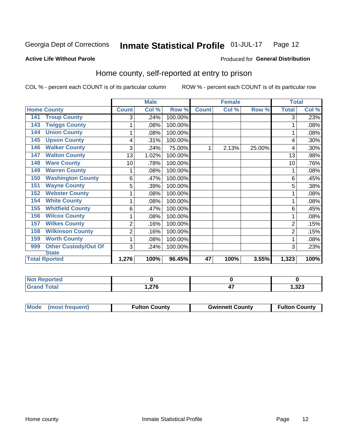#### Inmate Statistical Profile 01-JUL-17 Page 12

Produced for General Distribution

### **Active Life Without Parole**

## Home county, self-reported at entry to prison

COL % - percent each COUNT is of its particular column

|                                    |                | <b>Male</b> |         |              | <b>Female</b> |        | <b>Total</b> |         |
|------------------------------------|----------------|-------------|---------|--------------|---------------|--------|--------------|---------|
| <b>Home County</b>                 | <b>Count</b>   | Col %       | Row %   | <b>Count</b> | Col %         | Row %  | <b>Total</b> | Col %   |
| <b>Troup County</b><br>141         | 3              | .24%        | 100.00% |              |               |        | 3            | .23%    |
| <b>Twiggs County</b><br>143        |                | .08%        | 100.00% |              |               |        |              | .08%    |
| <b>Union County</b><br>144         |                | .08%        | 100.00% |              |               |        |              | .08%    |
| <b>Upson County</b><br>145         | 4              | .31%        | 100.00% |              |               |        | 4            | .30%    |
| <b>Walker County</b><br>146        | 3              | .24%        | 75.00%  |              | 2.13%         | 25.00% | 4            | $.30\%$ |
| <b>Walton County</b><br>147        | 13             | 1.02%       | 100.00% |              |               |        | 13           | .98%    |
| <b>Ware County</b><br>148          | 10             | .78%        | 100.00% |              |               |        | 10           | .76%    |
| <b>Warren County</b><br>149        | 1              | .08%        | 100.00% |              |               |        |              | .08%    |
| <b>Washington County</b><br>150    | 6              | .47%        | 100.00% |              |               |        | 6            | .45%    |
| <b>Wayne County</b><br>151         | 5              | .39%        | 100.00% |              |               |        | 5            | .38%    |
| <b>Webster County</b><br>152       | 1              | .08%        | 100.00% |              |               |        |              | .08%    |
| <b>White County</b><br>154         |                | .08%        | 100.00% |              |               |        |              | .08%    |
| <b>Whitfield County</b><br>155     | 6              | .47%        | 100.00% |              |               |        | 6            | .45%    |
| <b>Wilcox County</b><br>156        |                | .08%        | 100.00% |              |               |        |              | .08%    |
| <b>Wilkes County</b><br>157        | 2              | .16%        | 100.00% |              |               |        | 2            | .15%    |
| <b>Wilkinson County</b><br>158     | $\overline{c}$ | .16%        | 100.00% |              |               |        | 2            | .15%    |
| <b>Worth County</b><br>159         |                | .08%        | 100.00% |              |               |        |              | .08%    |
| <b>Other Custody/Out Of</b><br>999 | 3              | .24%        | 100.00% |              |               |        | 3            | .23%    |
| <b>State</b>                       |                |             |         |              |               |        |              |         |
| <b>Total Rported</b>               | 1,276          | 100%        | 96.45%  | 47           | 100%          | 3.55%  | 1,323        | 100%    |

| <b>Not Reported</b> |          |     |       |
|---------------------|----------|-----|-------|
| <b>Grand Total</b>  | 07C<br>. | . . | 1,323 |

| Mode | (most frequent) | Fulton County | <b>Gwinnett County</b> | <b>Fulton County</b> |
|------|-----------------|---------------|------------------------|----------------------|
|      |                 |               |                        |                      |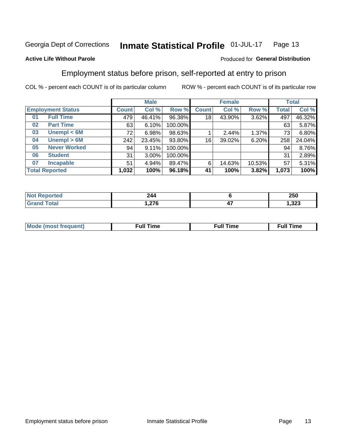#### Inmate Statistical Profile 01-JUL-17 Page 13

### **Active Life Without Parole**

### Produced for General Distribution

## Employment status before prison, self-reported at entry to prison

COL % - percent each COUNT is of its particular column

|                           | <b>Male</b>  |          |         | <b>Female</b> |        |        | <b>Total</b> |        |
|---------------------------|--------------|----------|---------|---------------|--------|--------|--------------|--------|
| <b>Employment Status</b>  | <b>Count</b> | Col %    | Row %   | <b>Count</b>  | Col %  | Row %  | Total        | Col %  |
| <b>Full Time</b><br>01    | 479          | 46.41%   | 96.38%  | 18            | 43.90% | 3.62%  | 497          | 46.32% |
| <b>Part Time</b><br>02    | 63           | 6.10%    | 100.00% |               |        |        | 63           | 5.87%  |
| Unempl $<$ 6M<br>03       | 72           | 6.98%    | 98.63%  |               | 2.44%  | 1.37%  | 73           | 6.80%  |
| Unempl > 6M<br>04         | 242          | 23.45%   | 93.80%  | 16            | 39.02% | 6.20%  | 258          | 24.04% |
| <b>Never Worked</b><br>05 | 94           | 9.11%    | 100.00% |               |        |        | 94           | 8.76%  |
| <b>Student</b><br>06      | 31           | $3.00\%$ | 100.00% |               |        |        | 31           | 2.89%  |
| <b>Incapable</b><br>07    | 51           | 4.94%    | 89.47%  | 6             | 14.63% | 10.53% | 57           | 5.31%  |
| <b>Total Reported</b>     | 1,032        | 100%     | 96.18%  | 41            | 100%   | 3.82%  | 1,073        | 100%   |

| 244                             |     | 250           |
|---------------------------------|-----|---------------|
| $\sim$<br>1,41 V<br>$\sim$ $ -$ | - 1 | 222<br>د∡د, ו |

| Mc | ----<br>me<br>ш | nc<br>. |
|----|-----------------|---------|
|    |                 |         |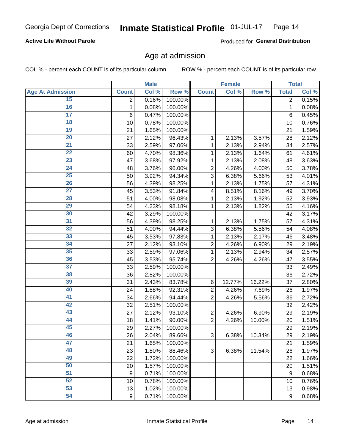### **Active Life Without Parole**

Produced for General Distribution

### Age at admission

COL % - percent each COUNT is of its particular column

|                         |                | <b>Male</b> |         |                | <b>Female</b> |        |                  | <b>Total</b> |
|-------------------------|----------------|-------------|---------|----------------|---------------|--------|------------------|--------------|
| <b>Age At Admission</b> | <b>Count</b>   | Col %       | Row %   | <b>Count</b>   | Col %         | Row %  | <b>Total</b>     | Col %        |
| 15                      | $\overline{2}$ | 0.16%       | 100.00% |                |               |        | $\overline{2}$   | 0.15%        |
| 16                      | 1              | 0.08%       | 100.00% |                |               |        | $\mathbf{1}$     | 0.08%        |
| $\overline{17}$         | 6              | 0.47%       | 100.00% |                |               |        | 6                | 0.45%        |
| 18                      | 10             | 0.78%       | 100.00% |                |               |        | 10               | 0.76%        |
| 19                      | 21             | 1.65%       | 100.00% |                |               |        | 21               | 1.59%        |
| $\overline{20}$         | 27             | 2.12%       | 96.43%  | 1              | 2.13%         | 3.57%  | 28               | 2.12%        |
| 21                      | 33             | 2.59%       | 97.06%  | 1              | 2.13%         | 2.94%  | 34               | 2.57%        |
| $\overline{22}$         | 60             | 4.70%       | 98.36%  | 1              | 2.13%         | 1.64%  | 61               | 4.61%        |
| $\overline{23}$         | 47             | 3.68%       | 97.92%  | 1              | 2.13%         | 2.08%  | 48               | 3.63%        |
| $\overline{24}$         | 48             | 3.76%       | 96.00%  | $\overline{2}$ | 4.26%         | 4.00%  | 50               | 3.78%        |
| $\overline{25}$         | 50             | 3.92%       | 94.34%  | $\overline{3}$ | 6.38%         | 5.66%  | 53               | 4.01%        |
| 26                      | 56             | 4.39%       | 98.25%  | 1              | 2.13%         | 1.75%  | 57               | 4.31%        |
| $\overline{27}$         | 45             | 3.53%       | 91.84%  | 4              | 8.51%         | 8.16%  | 49               | 3.70%        |
| 28                      | 51             | 4.00%       | 98.08%  | 1              | 2.13%         | 1.92%  | 52               | 3.93%        |
| 29                      | 54             | 4.23%       | 98.18%  | 1              | 2.13%         | 1.82%  | 55               | 4.16%        |
| 30                      | 42             | 3.29%       | 100.00% |                |               |        | 42               | 3.17%        |
| 31                      | 56             | 4.39%       | 98.25%  | 1              | 2.13%         | 1.75%  | 57               | 4.31%        |
| $\overline{32}$         | 51             | 4.00%       | 94.44%  | 3              | 6.38%         | 5.56%  | 54               | 4.08%        |
| 33                      | 45             | 3.53%       | 97.83%  | 1              | 2.13%         | 2.17%  | 46               | 3.48%        |
| $\overline{34}$         | 27             | 2.12%       | 93.10%  | $\overline{2}$ | 4.26%         | 6.90%  | 29               | 2.19%        |
| 35                      | 33             | 2.59%       | 97.06%  | 1              | 2.13%         | 2.94%  | 34               | 2.57%        |
| 36                      | 45             | 3.53%       | 95.74%  | $\overline{2}$ | 4.26%         | 4.26%  | 47               | 3.55%        |
| $\overline{37}$         | 33             | 2.59%       | 100.00% |                |               |        | 33               | 2.49%        |
| 38                      | 36             | 2.82%       | 100.00% |                |               |        | 36               | 2.72%        |
| 39                      | 31             | 2.43%       | 83.78%  | $\,6$          | 12.77%        | 16.22% | 37               | 2.80%        |
| 40                      | 24             | 1.88%       | 92.31%  | $\overline{c}$ | 4.26%         | 7.69%  | 26               | 1.97%        |
| 41                      | 34             | 2.66%       | 94.44%  | $\overline{2}$ | 4.26%         | 5.56%  | 36               | 2.72%        |
| 42                      | 32             | 2.51%       | 100.00% |                |               |        | 32               | 2.42%        |
| 43                      | 27             | 2.12%       | 93.10%  | $\overline{2}$ | 4.26%         | 6.90%  | 29               | 2.19%        |
| 44                      | 18             | 1.41%       | 90.00%  | $\overline{2}$ | 4.26%         | 10.00% | 20               | 1.51%        |
| 45                      | 29             | 2.27%       | 100.00% |                |               |        | 29               | 2.19%        |
| 46                      | 26             | 2.04%       | 89.66%  | 3              | 6.38%         | 10.34% | 29               | 2.19%        |
| 47                      | 21             | 1.65%       | 100.00% |                |               |        | 21               | 1.59%        |
| 48                      | 23             | 1.80%       | 88.46%  | 3              | 6.38%         | 11.54% | 26               | 1.97%        |
| 49                      | 22             | 1.72%       | 100.00% |                |               |        | 22               | 1.66%        |
| 50                      | 20             | 1.57%       | 100.00% |                |               |        | 20               | 1.51%        |
| $\overline{51}$         | 9              | 0.71%       | 100.00% |                |               |        | $\boldsymbol{9}$ | 0.68%        |
| 52                      | 10             | 0.78%       | 100.00% |                |               |        | 10               | 0.76%        |
| 53                      | 13             | 1.02%       | 100.00% |                |               |        | 13               | 0.98%        |
| 54                      | 9              | 0.71%       | 100.00% |                |               |        | 9                | 0.68%        |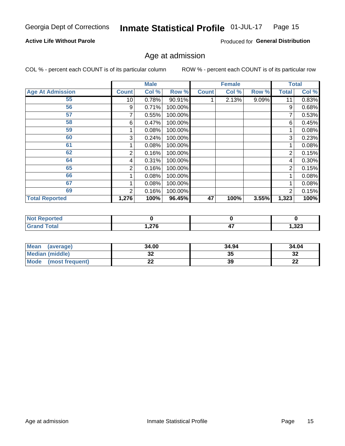#### Inmate Statistical Profile 01-JUL-17 Page 15

### **Active Life Without Parole**

Produced for General Distribution

### Age at admission

COL % - percent each COUNT is of its particular column

|                         |              | <b>Male</b> |         |              | <b>Female</b> |       |              | <b>Total</b> |
|-------------------------|--------------|-------------|---------|--------------|---------------|-------|--------------|--------------|
| <b>Age At Admission</b> | <b>Count</b> | Col %       | Row %   | <b>Count</b> | Col %         | Row % | <b>Total</b> | Col %        |
| 55                      | 10           | 0.78%       | 90.91%  |              | 2.13%         | 9.09% | 11           | 0.83%        |
| 56                      | 9            | 0.71%       | 100.00% |              |               |       | 9            | 0.68%        |
| 57                      |              | 0.55%       | 100.00% |              |               |       | 7            | 0.53%        |
| 58                      | 6            | 0.47%       | 100.00% |              |               |       | 6            | 0.45%        |
| 59                      |              | 0.08%       | 100.00% |              |               |       |              | 0.08%        |
| 60                      | 3            | 0.24%       | 100.00% |              |               |       | 3            | 0.23%        |
| 61                      |              | 0.08%       | 100.00% |              |               |       |              | 0.08%        |
| 62                      | 2            | 0.16%       | 100.00% |              |               |       | 2            | 0.15%        |
| 64                      | 4            | 0.31%       | 100.00% |              |               |       | 4            | 0.30%        |
| 65                      | 2            | 0.16%       | 100.00% |              |               |       | 2            | 0.15%        |
| 66                      |              | 0.08%       | 100.00% |              |               |       |              | 0.08%        |
| 67                      |              | 0.08%       | 100.00% |              |               |       |              | 0.08%        |
| 69                      | 2            | 0.16%       | 100.00% |              |               |       | 2            | 0.15%        |
| <b>Total Reported</b>   | 1,276        | 100%        | 96.45%  | 47           | 100%          | 3.55% | 1,323        | 100%         |

| <b>Not Reported</b> |        |            |       |
|---------------------|--------|------------|-------|
| <b>Grand Total</b>  | .276.، | . .<br>. . | 1,323 |

| Mean<br>(average)       | 34.00 | 34.94 | 34.04    |
|-------------------------|-------|-------|----------|
| <b>Median (middle)</b>  | JZ    | 35    | 32       |
| Mode<br>(most frequent) | --    | 39    | n.<br>LL |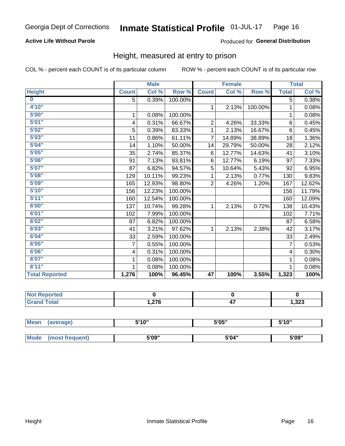### **Active Life Without Parole**

### Produced for General Distribution

### Height, measured at entry to prison

COL % - percent each COUNT is of its particular column

|                       |              | <b>Male</b> |         |                | <b>Female</b>             |         |                | <b>Total</b> |
|-----------------------|--------------|-------------|---------|----------------|---------------------------|---------|----------------|--------------|
| <b>Height</b>         | <b>Count</b> | Col %       | Row %   | <b>Count</b>   | $\overline{\text{Col}}$ % | Row %   | <b>Total</b>   | Col %        |
| $\bf{0}$              | 5            | 0.39%       | 100.00% |                |                           |         | 5              | 0.38%        |
| 4'10''                |              |             |         | $\mathbf 1$    | 2.13%                     | 100.00% | 1              | 0.08%        |
| 5'00''                | $\mathbf{1}$ | 0.08%       | 100.00% |                |                           |         | 1              | 0.08%        |
| 5'01"                 | 4            | 0.31%       | 66.67%  | $\overline{2}$ | 4.26%                     | 33.33%  | 6              | 0.45%        |
| 5'02"                 | 5            | 0.39%       | 83.33%  | 1              | 2.13%                     | 16.67%  | $6\phantom{1}$ | 0.45%        |
| 5'03''                | 11           | 0.86%       | 61.11%  | $\overline{7}$ | 14.89%                    | 38.89%  | 18             | 1.36%        |
| 5'04"                 | 14           | 1.10%       | 50.00%  | 14             | 29.79%                    | 50.00%  | 28             | 2.12%        |
| 5'05"                 | 35           | 2.74%       | 85.37%  | 6              | 12.77%                    | 14.63%  | 41             | 3.10%        |
| 5'06''                | 91           | 7.13%       | 93.81%  | 6              | 12.77%                    | 6.19%   | 97             | 7.33%        |
| 5'07''                | 87           | 6.82%       | 94.57%  | 5              | 10.64%                    | 5.43%   | 92             | 6.95%        |
| 5'08''                | 129          | 10.11%      | 99.23%  | 1              | 2.13%                     | 0.77%   | 130            | 9.83%        |
| 5'09''                | 165          | 12.93%      | 98.80%  | $\overline{2}$ | 4.26%                     | 1.20%   | 167            | 12.62%       |
| 5'10''                | 156          | 12.23%      | 100.00% |                |                           |         | 156            | 11.79%       |
| 5'11"                 | 160          | 12.54%      | 100.00% |                |                           |         | 160            | 12.09%       |
| 6'00''                | 137          | 10.74%      | 99.28%  | 1              | 2.13%                     | 0.72%   | 138            | 10.43%       |
| 6'01''                | 102          | 7.99%       | 100.00% |                |                           |         | 102            | 7.71%        |
| 6'02"                 | 87           | 6.82%       | 100.00% |                |                           |         | 87             | 6.58%        |
| 6'03''                | 41           | 3.21%       | 97.62%  | $\mathbf{1}$   | 2.13%                     | 2.38%   | 42             | 3.17%        |
| 6'04"                 | 33           | 2.59%       | 100.00% |                |                           |         | 33             | 2.49%        |
| 6'05"                 | 7            | 0.55%       | 100.00% |                |                           |         | $\overline{7}$ | 0.53%        |
| 6'06"                 | 4            | 0.31%       | 100.00% |                |                           |         | 4              | 0.30%        |
| 6'07''                | 1            | 0.08%       | 100.00% |                |                           |         | 1              | 0.08%        |
| 6'11''                | 1            | 0.08%       | 100.00% |                |                           |         |                | 0.08%        |
| <b>Total Reported</b> | 1,276        | 100%        | 96.45%  | 47             | 100%                      | 3.55%   | 1,323          | 100%         |

| <b>Not Reported</b> |      |           |       |
|---------------------|------|-----------|-------|
| <b>Total</b>        | .276 | --<br>. . | 1,323 |

| <b>Mean</b> | (average)       | 5'10" | 5'05" | 5'10'' |
|-------------|-----------------|-------|-------|--------|
|             |                 |       |       |        |
| <b>Mode</b> | (most frequent) | 5'09" | 5'04" | 5'09"  |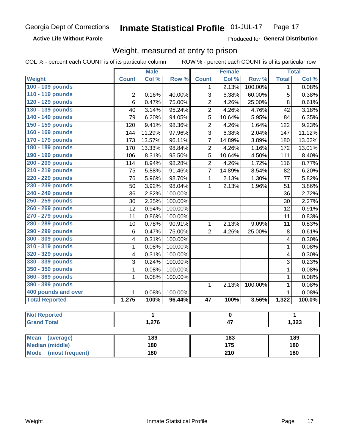**Active Life Without Parole** 

Produced for General Distribution

## Weight, measured at entry to prison

COL % - percent each COUNT is of its particular column

ROW % - percent each COUNT is of its particular row

|                          |                         | <b>Male</b> |         |                 | <b>Female</b>    |         |              | <b>Total</b> |  |
|--------------------------|-------------------------|-------------|---------|-----------------|------------------|---------|--------------|--------------|--|
| Weight                   | <b>Count</b>            | Col %       | Row %   | <b>Count</b>    | Col %            | Row %   | <b>Total</b> | Col %        |  |
| 100 - 109 pounds         |                         |             |         | 1               | 2.13%            | 100.00% | 1            | 0.08%        |  |
| 110 - 119 pounds         | $\overline{2}$          | 0.16%       | 40.00%  | 3               | 6.38%            | 60.00%  | 5            | 0.38%        |  |
| 120 - 129 pounds         | $6\phantom{1}$          | 0.47%       | 75.00%  | $\overline{2}$  | 4.26%            | 25.00%  | 8            | 0.61%        |  |
| 130 - 139 pounds         | 40                      | 3.14%       | 95.24%  | $\overline{2}$  | 4.26%            | 4.76%   | 42           | 3.18%        |  |
| 140 - 149 pounds         | 79                      | 6.20%       | 94.05%  | 5               | 10.64%           | 5.95%   | 84           | 6.35%        |  |
| 150 - 159 pounds         | 120                     | 9.41%       | 98.36%  | $\overline{2}$  | 4.26%            | 1.64%   | 122          | 9.23%        |  |
| 160 - 169 pounds         | 144                     | 11.29%      | 97.96%  | 3               | 6.38%            | 2.04%   | 147          | 11.12%       |  |
| 170 - 179 pounds         | 173                     | 13.57%      | 96.11%  | $\overline{7}$  | 14.89%           | 3.89%   | 180          | 13.62%       |  |
| 180 - 189 pounds         | 170                     | 13.33%      | 98.84%  | $\overline{2}$  | 4.26%            | 1.16%   | 172          | 13.01%       |  |
| 190 - 199 pounds         | 106                     | 8.31%       | 95.50%  | 5               | 10.64%           | 4.50%   | 111          | 8.40%        |  |
| 200 - 209 pounds         | 114                     | 8.94%       | 98.28%  | $\overline{2}$  | 4.26%            | 1.72%   | 116          | 8.77%        |  |
| 210 - 219 pounds         | 75                      | 5.88%       | 91.46%  | $\overline{7}$  | 14.89%           | 8.54%   | 82           | 6.20%        |  |
| 220 - 229 pounds         | 76                      | 5.96%       | 98.70%  | 1               | 2.13%            | 1.30%   | 77           | 5.82%        |  |
| 230 - 239 pounds         | 50                      | 3.92%       | 98.04%  | $\mathbf{1}$    | 2.13%            | 1.96%   | 51           | 3.86%        |  |
| 240 - 249 pounds         | 36                      | 2.82%       | 100.00% |                 |                  |         | 36           | 2.72%        |  |
| 250 - 259 pounds         | 30                      | 2.35%       | 100.00% |                 |                  |         | 30           | 2.27%        |  |
| 260 - 269 pounds         | 12                      | 0.94%       | 100.00% |                 |                  |         | 12           | 0.91%        |  |
| 270 - 279 pounds         | 11                      | 0.86%       | 100.00% |                 |                  |         | 11           | 0.83%        |  |
| 280 - 289 pounds         | 10                      | 0.78%       | 90.91%  | $\mathbf{1}$    | 2.13%            | 9.09%   | 11           | 0.83%        |  |
| 290 - 299 pounds         | $\,6$                   | 0.47%       | 75.00%  | $\overline{2}$  | 4.26%            | 25.00%  | 8            | 0.61%        |  |
| 300 - 309 pounds         | 4                       | 0.31%       | 100.00% |                 |                  |         | 4            | 0.30%        |  |
| 310 - 319 pounds         | $\mathbf 1$             | 0.08%       | 100.00% |                 |                  |         | $\mathbf 1$  | 0.08%        |  |
| 320 - 329 pounds         | $\overline{\mathbf{4}}$ | 0.31%       | 100.00% |                 |                  |         | 4            | 0.30%        |  |
| 330 - 339 pounds         | 3                       | 0.24%       | 100.00% |                 |                  |         | 3            | 0.23%        |  |
| 350 - 359 pounds         | 1                       | 0.08%       | 100.00% |                 |                  |         | $\mathbf 1$  | 0.08%        |  |
| 360 - 369 pounds         | 1                       | 0.08%       | 100.00% |                 |                  |         | $\mathbf{1}$ | 0.08%        |  |
| 390 - 399 pounds         |                         |             |         | 1               | 2.13%            | 100.00% | $\mathbf{1}$ | 0.08%        |  |
| 400 pounds and over      | $\mathbf{1}$            | 0.08%       | 100.00% |                 |                  |         | $\mathbf{1}$ | 0.08%        |  |
| <b>Total Reported</b>    | 1,275                   | 100%        | 96.44%  | $\overline{47}$ | 100%             | 3.56%   | 1,322        | 100.0%       |  |
|                          |                         |             |         |                 |                  |         |              |              |  |
| <b>Not Reported</b>      |                         | 1           |         |                 | $\pmb{0}$        |         |              | 1            |  |
| <b>Grand Total</b>       |                         | 1,276       |         |                 | $\overline{47}$  |         |              | 1,323        |  |
|                          |                         |             |         |                 |                  |         |              |              |  |
| <b>Mean</b><br>(average) |                         | 189         |         |                 | $\overline{183}$ |         |              | 189          |  |
| <b>Median (middle)</b>   |                         | 180         |         | 175             |                  |         | 180          |              |  |

**Mode** 

(most frequent)

 $\overline{210}$ 

 $\overline{180}$ 

 $180$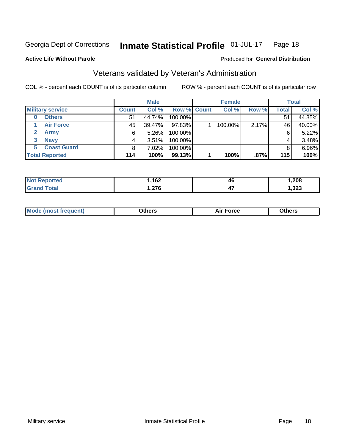#### Inmate Statistical Profile 01-JUL-17 Page 18

**Active Life Without Parole** 

### Produced for General Distribution

## Veterans validated by Veteran's Administration

COL % - percent each COUNT is of its particular column

|                          |              | <b>Male</b> |             | <b>Female</b> |       |              | <b>Total</b> |
|--------------------------|--------------|-------------|-------------|---------------|-------|--------------|--------------|
| <b>Military service</b>  | <b>Count</b> | Col %       | Row % Count | Col %         | Row % | <b>Total</b> | Col %        |
| <b>Others</b><br>0       | 51           | 44.74%      | 100.00%     |               |       | 51           | 44.35%       |
| <b>Air Force</b>         | 45           | 39.47%      | 97.83%      | 100.00%       | 2.17% | 46           | 40.00%       |
| Army                     | 6            | $5.26\%$    | 100.00%     |               |       | 6            | 5.22%        |
| <b>Navy</b><br>3         |              | 3.51%       | 100.00%     |               |       | 4            | 3.48%        |
| <b>Coast Guard</b><br>5. |              | 7.02%       | 100.00%     |               |       |              | 6.96%        |
| <b>Total Reported</b>    | 114          | 100%        | 99.13%      | 100%          | .87%  | 115          | 100%         |

| rtea :       | 100<br>- אי<br>___ | 46  | .208 |
|--------------|--------------------|-----|------|
| <b>Total</b> | 070                | . . | າາາ  |
|              | . 21 U             | T 1 | 535, |

| Mo<br>m | ∖‡h∧rc<br>_____ | $-0.002$<br>28 F T<br>UI CE | <b>Others</b><br>____ |
|---------|-----------------|-----------------------------|-----------------------|
|         |                 |                             |                       |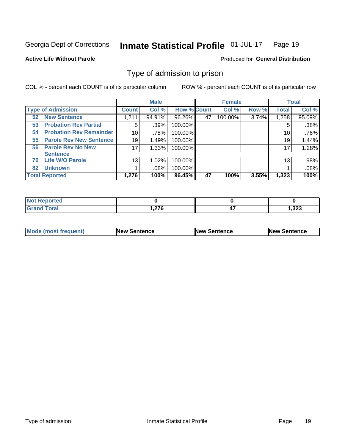#### Inmate Statistical Profile 01-JUL-17 Page 19

**Active Life Without Parole** 

Produced for General Distribution

## Type of admission to prison

COL % - percent each COUNT is of its particular column

|                                      |              | <b>Male</b> |                    |    | <b>Female</b> |       |              | <b>Total</b> |
|--------------------------------------|--------------|-------------|--------------------|----|---------------|-------|--------------|--------------|
| <b>Type of Admission</b>             | <b>Count</b> | Col %       | <b>Row % Count</b> |    | Col %         | Row % | <b>Total</b> | Col %        |
| <b>New Sentence</b><br>52            | 1,211        | 94.91%      | 96.26%             | 47 | 100.00%       | 3.74% | 1,258        | 95.09%       |
| <b>Probation Rev Partial</b><br>53   | 5            | .39%        | 100.00%            |    |               |       | 5            | .38%         |
| <b>Probation Rev Remainder</b><br>54 | 10           | .78%        | 100.00%            |    |               |       | 10           | .76%         |
| <b>Parole Rev New Sentence</b><br>55 | 19           | 1.49%       | 100.00%            |    |               |       | 19           | 1.44%        |
| <b>Parole Rev No New</b><br>56       | 17           | 1.33%       | 100.00%            |    |               |       | 17           | 1.28%        |
| <b>Sentence</b>                      |              |             |                    |    |               |       |              |              |
| <b>Life W/O Parole</b><br>70         | 13           | 1.02%       | 100.00%            |    |               |       | 13           | .98%         |
| <b>Unknown</b><br>82                 |              | $.08\%$     | 100.00%            |    |               |       |              | .08%         |
| <b>Total Reported</b>                | 1,276        | 100%        | 96.45%             | 47 | 100%          | 3.55% | 1,323        | 100%         |

| <b>Not Reported</b> |        |    |       |
|---------------------|--------|----|-------|
| <b>Grand Total</b>  | 276, ا | т. | 1,323 |

| Mode (most frequent) | <b>New Sentence</b> | <b>New Sentence</b> | <b>New Sentence</b> |
|----------------------|---------------------|---------------------|---------------------|
|                      |                     |                     |                     |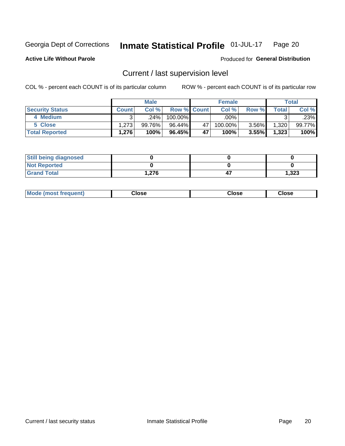#### Inmate Statistical Profile 01-JUL-17 Page 20

**Active Life Without Parole** 

### Produced for General Distribution

## Current / last supervision level

COL % - percent each COUNT is of its particular column

|                        |              | <b>Male</b> |                    |    | <b>Female</b> |          |       | <b>Total</b> |
|------------------------|--------------|-------------|--------------------|----|---------------|----------|-------|--------------|
| <b>Security Status</b> | <b>Count</b> | Col%        | <b>Row % Count</b> |    | Col %         | Row %    | Total | Col %        |
| 4 Medium               |              | .24%        | 100.00%            |    | .00%          |          | ົ     | .23%         |
| 5 Close                | 1.273        | 99.76%      | 96.44%             | 47 | 100.00%       | $3.56\%$ | 1,320 | 99.77%       |
| <b>Total Reported</b>  | 1.276        | 100%        | 96.45%             | 47 | 100%          | 3.55%    | 1,323 | 100%         |

| <b>Still being diagnosed</b> |      |       |
|------------------------------|------|-------|
| <b>Not Reported</b>          |      |       |
| <b>Grand Total</b>           | ,276 | 1,323 |

| <b>AhoM</b><br>rreauent) | Close | Close | Close |
|--------------------------|-------|-------|-------|
|                          |       |       |       |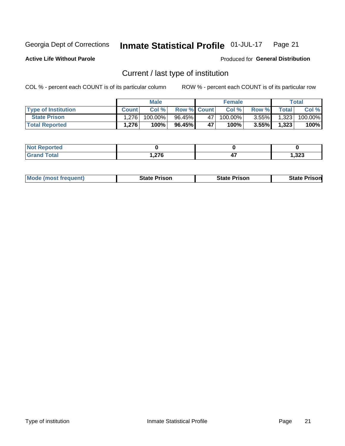#### Inmate Statistical Profile 01-JUL-17 Page 21

**Active Life Without Parole** 

Produced for General Distribution

## Current / last type of institution

COL % - percent each COUNT is of its particular column

|                            |              | <b>Male</b> |                    |    | <b>Female</b> |          |              | <b>Total</b> |
|----------------------------|--------------|-------------|--------------------|----|---------------|----------|--------------|--------------|
| <b>Type of Institution</b> | <b>Count</b> | Col%        | <b>Row % Count</b> |    | Col %         | Row %    | <b>Total</b> | Col %        |
| <b>State Prison</b>        | 1.276        | $100.00\%$  | 96.45%             | 47 | 100.00%       | $3.55\%$ | 1,323        | 100.00%      |
| <b>Total Reported</b>      | 1,276        | 100%        | 96.45%             | 47 | $100\%$ .     | $3.55\%$ | 1,323        | 100%         |

| <b>rted</b><br>. |        |     |        |
|------------------|--------|-----|--------|
|                  | $\sim$ | . . | 323, ا |

|  | <b>Mode (most frequent)</b> | State Prison | <b>State Prison</b> | <b>State Prison</b> |
|--|-----------------------------|--------------|---------------------|---------------------|
|--|-----------------------------|--------------|---------------------|---------------------|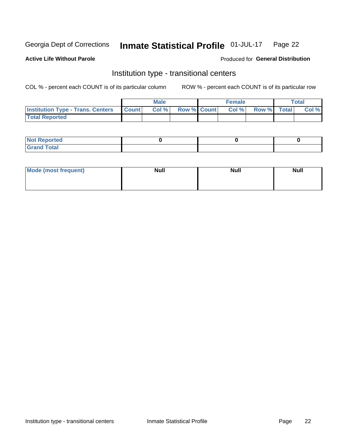#### Inmate Statistical Profile 01-JUL-17 Page 22

### **Active Life Without Parole**

### Produced for General Distribution

## Institution type - transitional centers

COL % - percent each COUNT is of its particular column

|                                                | Male  |                    | <b>Female</b> |                   | Total |
|------------------------------------------------|-------|--------------------|---------------|-------------------|-------|
| <b>Institution Type - Trans. Centers Count</b> | Col % | <b>Row % Count</b> |               | Col % Row % Total | Col % |
| <b>Total Reported</b>                          |       |                    |               |                   |       |

| <b>Reported</b><br><b>NOT</b><br>$\sim$            |  |  |
|----------------------------------------------------|--|--|
| $f$ $f \circ f \circ f$<br>$C = 1$<br><b>TULAI</b> |  |  |

| Mode (most frequent) | <b>Null</b> | <b>Null</b> | <b>Null</b> |
|----------------------|-------------|-------------|-------------|
|                      |             |             |             |
|                      |             |             |             |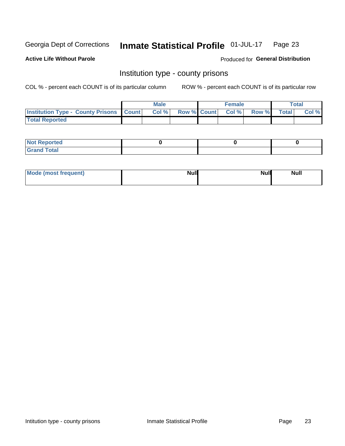#### Inmate Statistical Profile 01-JUL-17 Page 23

**Active Life Without Parole** 

Produced for General Distribution

### Institution type - county prisons

COL % - percent each COUNT is of its particular column

|                                                    | <b>Male</b> |       |  | <b>Female</b> |                          |             | <b>Total</b> |       |
|----------------------------------------------------|-------------|-------|--|---------------|--------------------------|-------------|--------------|-------|
| <b>Institution Type - County Prisons   Count  </b> |             | Col % |  |               | <b>Row % Count Col %</b> | Row % Total |              | Col % |
| <b>Total Reported</b>                              |             |       |  |               |                          |             |              |       |

| <b>Not</b><br>: Reported<br> |  |  |
|------------------------------|--|--|
| <b>Total</b><br>---          |  |  |

| Mode (most frequent) | <b>Null</b> | <b>Null</b><br><b>Null</b> |
|----------------------|-------------|----------------------------|
|                      |             |                            |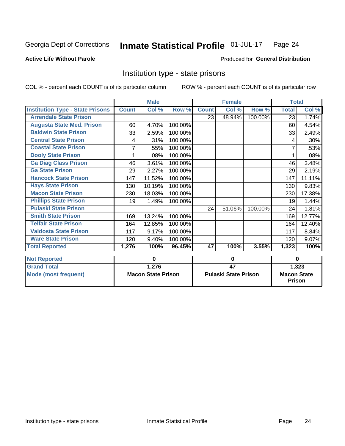#### Inmate Statistical Profile 01-JUL-17 Page 24

### **Active Life Without Parole**

### Produced for General Distribution

### Institution type - state prisons

COL % - percent each COUNT is of its particular column

ROW % - percent each COUNT is of its particular row

|                                         | <b>Male</b>  |                           |             | <b>Female</b>        |        |         | <b>Total</b>       |                    |  |
|-----------------------------------------|--------------|---------------------------|-------------|----------------------|--------|---------|--------------------|--------------------|--|
| <b>Institution Type - State Prisons</b> | <b>Count</b> | Col %                     | Row %       | <b>Count</b>         | Col %  | Row %   | <b>Total</b>       | Col %              |  |
| <b>Arrendale State Prison</b>           |              |                           |             | 23                   | 48.94% | 100.00% | 23                 | 1.74%              |  |
| <b>Augusta State Med. Prison</b>        | 60           | 4.70%                     | 100.00%     |                      |        |         | 60                 | 4.54%              |  |
| <b>Baldwin State Prison</b>             | 33           | 2.59%                     | 100.00%     |                      |        |         | 33                 | 2.49%              |  |
| <b>Central State Prison</b>             | 4            | .31%                      | 100.00%     |                      |        |         | 4                  | $.30\%$            |  |
| <b>Coastal State Prison</b>             | 7            | .55%                      | 100.00%     |                      |        |         |                    | .53%               |  |
| <b>Dooly State Prison</b>               |              | .08%                      | 100.00%     |                      |        |         |                    | .08%               |  |
| <b>Ga Diag Class Prison</b>             | 46           | 3.61%                     | 100.00%     |                      |        |         | 46                 | 3.48%              |  |
| <b>Ga State Prison</b>                  | 29           | 2.27%                     | 100.00%     |                      |        |         | 29                 | 2.19%              |  |
| <b>Hancock State Prison</b>             | 147          | 11.52%                    | 100.00%     |                      |        |         | 147                | 11.11%             |  |
| <b>Hays State Prison</b>                | 130          | 10.19%                    | 100.00%     |                      |        |         | 130                | 9.83%              |  |
| <b>Macon State Prison</b>               | 230          | 18.03%                    | 100.00%     |                      |        |         | 230                | 17.38%             |  |
| <b>Phillips State Prison</b>            | 19           | 1.49%                     | 100.00%     |                      |        |         | 19                 | 1.44%              |  |
| <b>Pulaski State Prison</b>             |              |                           |             | 24                   | 51.06% | 100.00% | 24                 | 1.81%              |  |
| <b>Smith State Prison</b>               | 169          | 13.24%                    | 100.00%     |                      |        |         | 169                | 12.77%             |  |
| <b>Telfair State Prison</b>             | 164          | 12.85%                    | 100.00%     |                      |        |         | 164                | 12.40%             |  |
| <b>Valdosta State Prison</b>            | 117          | 9.17%                     | 100.00%     |                      |        |         | 117                | 8.84%              |  |
| <b>Ware State Prison</b>                | 120          | 9.40%                     | 100.00%     |                      |        |         | 120                | 9.07%              |  |
| <b>Total Reported</b>                   | 1,276        | 100%                      | 96.45%      | 47                   | 100%   | 3.55%   | 1,323              | $\overline{100\%}$ |  |
| <b>Not Reported</b>                     | $\bf{0}$     |                           | $\mathbf 0$ |                      |        |         | $\bf{0}$           |                    |  |
| <b>Grand Total</b>                      |              | 1,276                     |             | 47                   |        |         | 1,323              |                    |  |
| <b>Mode (most frequent)</b>             |              | <b>Macon State Prison</b> |             | Pulaski State Prison |        |         | <b>Macon State</b> |                    |  |

Prison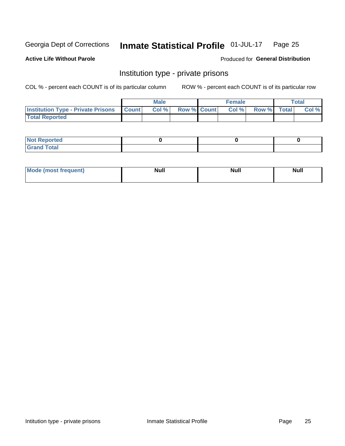#### Inmate Statistical Profile 01-JUL-17 Page 25

**Active Life Without Parole** 

Produced for General Distribution

## Institution type - private prisons

COL % - percent each COUNT is of its particular column

|                                                 | <b>Male</b> |      |                    | <b>Female</b> |       |             | Total |       |
|-------------------------------------------------|-------------|------|--------------------|---------------|-------|-------------|-------|-------|
| <b>Institution Type - Private Prisons Count</b> |             | Col% | <b>Row % Count</b> |               | Col % | Row % Total |       | Col % |
| <b>Total Reported</b>                           |             |      |                    |               |       |             |       |       |

| <b>Reported</b><br><b>NOT</b><br>$\sim$            |  |  |
|----------------------------------------------------|--|--|
| $f$ $f \circ f \circ f$<br>$C = 1$<br><b>TULAI</b> |  |  |

| <b>Mo</b><br>frequent) | <b>Null</b> | <b>Null</b> | . . I *<br><b>IVUII</b> |
|------------------------|-------------|-------------|-------------------------|
|                        |             |             |                         |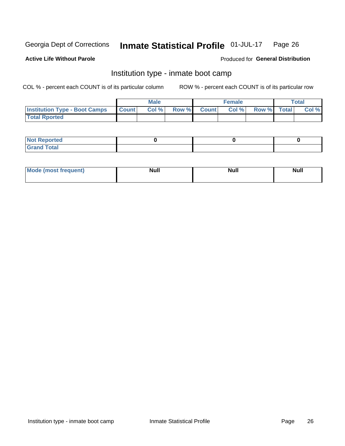#### Inmate Statistical Profile 01-JUL-17 Page 26

### **Active Life Without Parole**

### Produced for General Distribution

## Institution type - inmate boot camp

COL % - percent each COUNT is of its particular column

|                                            | <b>Male</b> |       |  |             | <b>Female</b> | <b>Total</b> |  |       |
|--------------------------------------------|-------------|-------|--|-------------|---------------|--------------|--|-------|
| <b>Institution Type - Boot Camps Count</b> |             | Col % |  | Row % Count | Col %         | Row % Total  |  | Col % |
| <b>Total Rported</b>                       |             |       |  |             |               |              |  |       |

| <b>Not Reported</b>            |  |  |
|--------------------------------|--|--|
| <b>Total</b><br>C <sub>r</sub> |  |  |

| Mod<br>uamo | Nul.<br>$- - - - - -$ | <b>Null</b> | <br>uu.<br>------ |
|-------------|-----------------------|-------------|-------------------|
|             |                       |             |                   |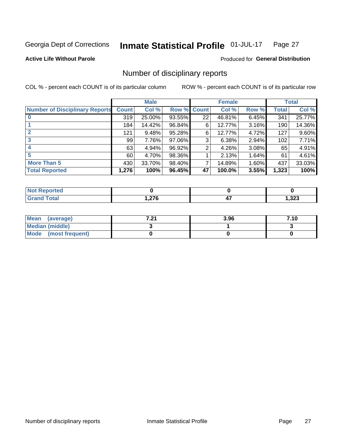#### Inmate Statistical Profile 01-JUL-17 Page 27

**Active Life Without Parole** 

Produced for General Distribution

## Number of disciplinary reports

COL % - percent each COUNT is of its particular column

|                                       | <b>Male</b>  |        |        | <b>Female</b> |        |       | <b>Total</b> |        |
|---------------------------------------|--------------|--------|--------|---------------|--------|-------|--------------|--------|
| <b>Number of Disciplinary Reports</b> | <b>Count</b> | Col %  | Row %  | <b>Count</b>  | Col %  | Row % | <b>Total</b> | Col %  |
|                                       | 319          | 25.00% | 93.55% | 22            | 46.81% | 6.45% | 341          | 25.77% |
|                                       | 184          | 14.42% | 96.84% | 6             | 12.77% | 3.16% | 190          | 14.36% |
| $\mathbf{2}$                          | 121          | 9.48%  | 95.28% | 6             | 12.77% | 4.72% | 127          | 9.60%  |
| 3                                     | 99           | 7.76%  | 97.06% | 3             | 6.38%  | 2.94% | 102          | 7.71%  |
|                                       | 63           | 4.94%  | 96.92% | 2             | 4.26%  | 3.08% | 65           | 4.91%  |
| 5                                     | 60           | 4.70%  | 98.36% |               | 2.13%  | 1.64% | 61           | 4.61%  |
| <b>More Than 5</b>                    | 430          | 33.70% | 98.40% | 7             | 14.89% | 1.60% | 437          | 33.03% |
| <b>Total Reported</b>                 | 1,276        | 100%   | 96.45% | 47            | 100.0% | 3.55% | 1,323        | 100%   |

| тео<br>NO |      |       |
|-----------|------|-------|
| Total     | ,276 | 1,323 |

| Mean (average)         | 7. 94<br>$\sim$ | 3.96 | 7.10 |
|------------------------|-----------------|------|------|
| <b>Median (middle)</b> |                 |      |      |
| Mode (most frequent)   |                 |      |      |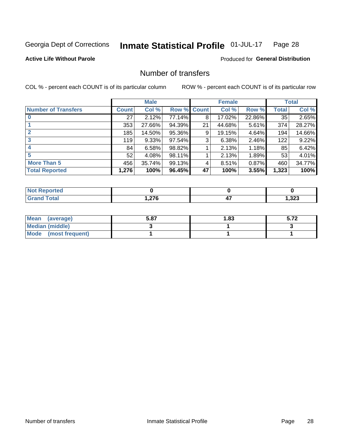#### Inmate Statistical Profile 01-JUL-17 Page 28

### **Active Life Without Parole**

### Produced for General Distribution

## Number of transfers

COL % - percent each COUNT is of its particular column

|                            |              | <b>Male</b> |        |              | <b>Female</b> |          |              | <b>Total</b> |
|----------------------------|--------------|-------------|--------|--------------|---------------|----------|--------------|--------------|
| <b>Number of Transfers</b> | <b>Count</b> | Col %       | Row %  | <b>Count</b> | Col %         | Row %    | <b>Total</b> | Col %        |
|                            | 27           | 2.12%       | 77.14% | 8            | 17.02%        | 22.86%   | 35           | 2.65%        |
|                            | 353          | 27.66%      | 94.39% | 21           | 44.68%        | $5.61\%$ | 374          | 28.27%       |
| $\mathbf{2}$               | 185          | 14.50%      | 95.36% | 9            | 19.15%        | 4.64%    | 194          | 14.66%       |
| 3                          | 119          | 9.33%       | 97.54% | 3            | 6.38%         | 2.46%    | 122          | 9.22%        |
|                            | 84           | 6.58%       | 98.82% |              | 2.13%         | 1.18%    | 85           | 6.42%        |
| 5                          | 52           | 4.08%       | 98.11% |              | 2.13%         | 1.89%    | 53           | 4.01%        |
| <b>More Than 5</b>         | 456          | 35.74%      | 99.13% | 4            | 8.51%         | 0.87%    | 460          | 34.77%       |
| <b>Total Reported</b>      | 1,276        | 100%        | 96.45% | 47           | 100%          | 3.55%    | 1,323        | 100%         |

| тео<br>NO |      |       |
|-----------|------|-------|
| Total     | ,276 | 1,323 |

| Mean (average)         | 5.87 | l.83 | E 70<br>J.IŁ |
|------------------------|------|------|--------------|
| <b>Median (middle)</b> |      |      |              |
| Mode (most frequent)   |      |      |              |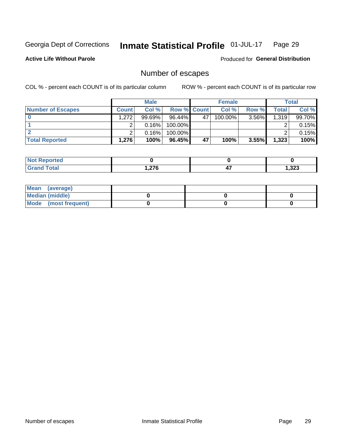#### Inmate Statistical Profile 01-JUL-17 Page 29

**Active Life Without Parole** 

Produced for General Distribution

## Number of escapes

COL % - percent each COUNT is of its particular column

|                          |              | <b>Male</b> |                    |    | <b>Female</b> |          |       | Total  |
|--------------------------|--------------|-------------|--------------------|----|---------------|----------|-------|--------|
| <b>Number of Escapes</b> | <b>Count</b> | Col %       | <b>Row % Count</b> |    | Col %         | Row %    | Total | Col %  |
|                          | 1,272        | $99.69\%$   | $96.44\%$          | 47 | $100.00\%$    | $3.56\%$ | 1,319 | 99.70% |
|                          |              | 0.16%       | 100.00%            |    |               |          |       | 0.15%  |
|                          |              | 0.16%       | 100.00%            |    |               |          |       | 0.15%  |
| <b>Total Reported</b>    | 1,276        | 100%        | $96.45\%$          | 47 | 100%          | $3.55\%$ | 1,323 | 100%   |

| <b>Not Reported</b> |       |           |       |
|---------------------|-------|-----------|-------|
| Total<br>Gr'        | 276,، | . .<br>−. | 1,323 |

| Mean (average)       |  |  |
|----------------------|--|--|
| Median (middle)      |  |  |
| Mode (most frequent) |  |  |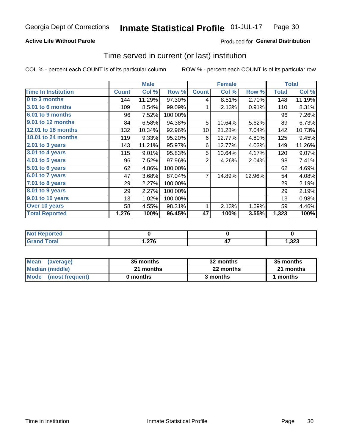### **Active Life Without Parole**

### Produced for General Distribution

### Time served in current (or last) institution

COL % - percent each COUNT is of its particular column

|                            |              | <b>Male</b> |         | <b>Female</b> |        |        | <b>Total</b> |        |
|----------------------------|--------------|-------------|---------|---------------|--------|--------|--------------|--------|
| <b>Time In Institution</b> | <b>Count</b> | Col %       | Row %   | <b>Count</b>  | Col %  | Row %  | <b>Total</b> | Col %  |
| 0 to 3 months              | 144          | 11.29%      | 97.30%  | 4             | 8.51%  | 2.70%  | 148          | 11.19% |
| <b>3.01 to 6 months</b>    | 109          | 8.54%       | 99.09%  | 1             | 2.13%  | 0.91%  | 110          | 8.31%  |
| 6.01 to 9 months           | 96           | 7.52%       | 100.00% |               |        |        | 96           | 7.26%  |
| 9.01 to 12 months          | 84           | 6.58%       | 94.38%  | 5             | 10.64% | 5.62%  | 89           | 6.73%  |
| <b>12.01 to 18 months</b>  | 132          | 10.34%      | 92.96%  | 10            | 21.28% | 7.04%  | 142          | 10.73% |
| 18.01 to 24 months         | 119          | 9.33%       | 95.20%  | 6             | 12.77% | 4.80%  | 125          | 9.45%  |
| $2.01$ to 3 years          | 143          | 11.21%      | 95.97%  | 6             | 12.77% | 4.03%  | 149          | 11.26% |
| 3.01 to 4 years            | 115          | 9.01%       | 95.83%  | 5             | 10.64% | 4.17%  | 120          | 9.07%  |
| 4.01 to 5 years            | 96           | 7.52%       | 97.96%  | 2             | 4.26%  | 2.04%  | 98           | 7.41%  |
| 5.01 to 6 years            | 62           | 4.86%       | 100.00% |               |        |        | 62           | 4.69%  |
| 6.01 to 7 years            | 47           | 3.68%       | 87.04%  | 7             | 14.89% | 12.96% | 54           | 4.08%  |
| 7.01 to 8 years            | 29           | 2.27%       | 100.00% |               |        |        | 29           | 2.19%  |
| 8.01 to 9 years            | 29           | 2.27%       | 100.00% |               |        |        | 29           | 2.19%  |
| 9.01 to 10 years           | 13           | 1.02%       | 100.00% |               |        |        | 13           | 0.98%  |
| Over 10 years              | 58           | 4.55%       | 98.31%  | 1             | 2.13%  | 1.69%  | 59           | 4.46%  |
| <b>Total Reported</b>      | 1,276        | 100%        | 96.45%  | 47            | 100%   | 3.55%  | 1,323        | 100%   |

| <b>Not Reported</b> |            |      |
|---------------------|------------|------|
| <b>Total</b>        | - מדה<br>. | ,323 |

| <b>Mean</b><br>(average) | 35 months | 32 months | 35 months |
|--------------------------|-----------|-----------|-----------|
| Median (middle)          | 21 months | 22 months | 21 months |
| Mode (most frequent)     | 0 months  | 3 months  | 1 months  |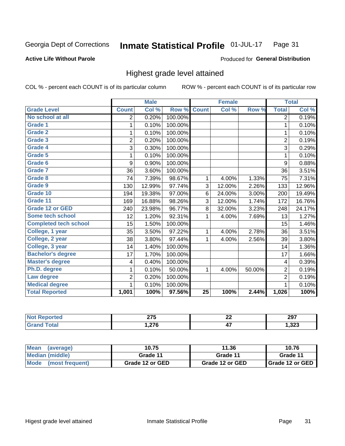### **Active Life Without Parole**

### Produced for General Distribution

## Highest grade level attained

COL % - percent each COUNT is of its particular column

|                              |                | <b>Male</b> |         |              | <b>Female</b>             |        |                         | <b>Total</b> |
|------------------------------|----------------|-------------|---------|--------------|---------------------------|--------|-------------------------|--------------|
| <b>Grade Level</b>           | <b>Count</b>   | Col %       | Row %   | <b>Count</b> | $\overline{\text{Col}}$ % | Row %  | <b>Total</b>            | Col %        |
| No school at all             | 2              | 0.20%       | 100.00% |              |                           |        | 2                       | 0.19%        |
| <b>Grade 1</b>               |                | 0.10%       | 100.00% |              |                           |        | 1                       | 0.10%        |
| Grade 2                      | 1              | 0.10%       | 100.00% |              |                           |        | 1                       | 0.10%        |
| Grade 3                      | $\overline{2}$ | 0.20%       | 100.00% |              |                           |        | $\overline{2}$          | 0.19%        |
| <b>Grade 4</b>               | 3              | 0.30%       | 100.00% |              |                           |        | 3                       | 0.29%        |
| Grade 5                      | 1              | 0.10%       | 100.00% |              |                           |        | 1                       | 0.10%        |
| Grade 6                      | 9              | 0.90%       | 100.00% |              |                           |        | 9                       | 0.88%        |
| Grade 7                      | 36             | 3.60%       | 100.00% |              |                           |        | 36                      | 3.51%        |
| Grade 8                      | 74             | 7.39%       | 98.67%  | 1            | 4.00%                     | 1.33%  | 75                      | 7.31%        |
| Grade 9                      | 130            | 12.99%      | 97.74%  | 3            | 12.00%                    | 2.26%  | 133                     | 12.96%       |
| Grade 10                     | 194            | 19.38%      | 97.00%  | 6            | 24.00%                    | 3.00%  | 200                     | 19.49%       |
| Grade 11                     | 169            | 16.88%      | 98.26%  | 3            | 12.00%                    | 1.74%  | 172                     | 16.76%       |
| <b>Grade 12 or GED</b>       | 240            | 23.98%      | 96.77%  | 8            | 32.00%                    | 3.23%  | 248                     | 24.17%       |
| Some tech school             | 12             | 1.20%       | 92.31%  | 1            | 4.00%                     | 7.69%  | 13                      | 1.27%        |
| <b>Completed tech school</b> | 15             | 1.50%       | 100.00% |              |                           |        | 15                      | 1.46%        |
| College, 1 year              | 35             | 3.50%       | 97.22%  | 1            | 4.00%                     | 2.78%  | 36                      | 3.51%        |
| College, 2 year              | 38             | 3.80%       | 97.44%  | 1            | 4.00%                     | 2.56%  | 39                      | 3.80%        |
| College, 3 year              | 14             | 1.40%       | 100.00% |              |                           |        | 14                      | 1.36%        |
| <b>Bachelor's degree</b>     | 17             | 1.70%       | 100.00% |              |                           |        | 17                      | 1.66%        |
| <b>Master's degree</b>       | 4              | 0.40%       | 100.00% |              |                           |        | $\overline{\mathbf{4}}$ | 0.39%        |
| Ph.D. degree                 | 1              | 0.10%       | 50.00%  | 1            | 4.00%                     | 50.00% | $\overline{2}$          | 0.19%        |
| Law degree                   | $\overline{2}$ | 0.20%       | 100.00% |              |                           |        | $\overline{2}$          | 0.19%        |
| <b>Medical degree</b>        |                | 0.10%       | 100.00% |              |                           |        | 1                       | 0.10%        |
| <b>Total Reported</b>        | 1,001          | 100%        | 97.56%  | 25           | 100%                      | 2.44%  | 1,026                   | 100%         |

|            | $- - -$<br>- 1 V<br>$\sim$ | nr<br>" | 207<br>2J I |
|------------|----------------------------|---------|-------------|
| <u>vuu</u> | 27c                        | . .     | .323        |
| $-$        | — 1 V —                    |         |             |

| <b>Mean</b><br>(average) | 10.75           | 11.36           | 10.76             |
|--------------------------|-----------------|-----------------|-------------------|
| <b>Median (middle)</b>   | Grade 11        | Grade 11        | Grade 11          |
| Mode<br>(most frequent)  | Grade 12 or GED | Grade 12 or GED | I Grade 12 or GED |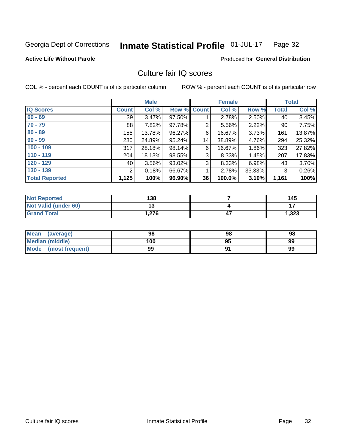#### Inmate Statistical Profile 01-JUL-17 Page 32

### **Active Life Without Parole**

### Produced for General Distribution

## Culture fair IQ scores

COL % - percent each COUNT is of its particular column

|                       |                 | <b>Male</b> |                    |                | <b>Female</b> |          |              | <b>Total</b> |
|-----------------------|-----------------|-------------|--------------------|----------------|---------------|----------|--------------|--------------|
| <b>IQ Scores</b>      | <b>Count</b>    | Col %       | <b>Row % Count</b> |                | Col %         | Row %    | <b>Total</b> | Col %        |
| $60 - 69$             | 39 <sub>1</sub> | 3.47%       | 97.50%             |                | 2.78%         | 2.50%    | 40           | 3.45%        |
| $70 - 79$             | 88              | 7.82%       | 97.78%             | $\overline{2}$ | 5.56%         | 2.22%    | 90           | 7.75%        |
| $80 - 89$             | 155             | 13.78%      | 96.27%             | 6              | 16.67%        | 3.73%    | 161          | 13.87%       |
| $90 - 99$             | 280             | 24.89%      | 95.24%             | 14             | 38.89%        | 4.76%    | 294          | 25.32%       |
| $100 - 109$           | 317             | 28.18%      | 98.14%             | 6              | 16.67%        | 1.86%    | 323          | 27.82%       |
| $110 - 119$           | 204             | 18.13%      | 98.55%             | 3              | 8.33%         | 1.45%    | 207          | 17.83%       |
| $120 - 129$           | 40              | 3.56%       | 93.02%             | 3              | 8.33%         | $6.98\%$ | 43           | 3.70%        |
| $130 - 139$           | 2               | 0.18%       | 66.67%             | 1              | 2.78%         | 33.33%   | 3            | 0.26%        |
| <b>Total Reported</b> | 1,125           | 100%        | 96.90%             | 36             | 100.0%        | 3.10%    | 1,161        | 100%         |

| <b>Not Reported</b>  | 138      | 145   |
|----------------------|----------|-------|
| Not Valid (under 60) | 49<br>יי |       |
| <b>Grand Total</b>   | .276     | 1,323 |

| <b>Mean</b><br>(average) | 98  | 98 | 98 |
|--------------------------|-----|----|----|
| Median (middle)          | 100 | 95 | 99 |
| Mode (most frequent)     | 99  |    | 99 |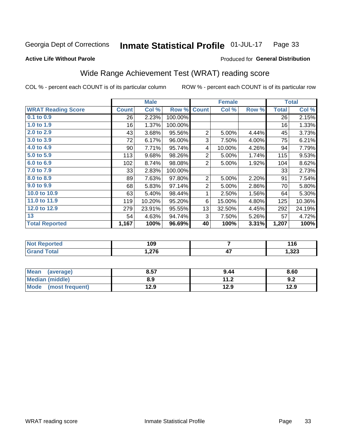#### Inmate Statistical Profile 01-JUL-17 Page 33

#### **Active Life Without Parole**

### Produced for General Distribution

## Wide Range Achievement Test (WRAT) reading score

COL % - percent each COUNT is of its particular column

|                           |                 | <b>Male</b> |         |                | <b>Female</b> |       |              | <b>Total</b> |
|---------------------------|-----------------|-------------|---------|----------------|---------------|-------|--------------|--------------|
| <b>WRAT Reading Score</b> | <b>Count</b>    | Col %       | Row %   | <b>Count</b>   | Col %         | Row % | <b>Total</b> | Col %        |
| 0.1 to 0.9                | 26              | 2.23%       | 100.00% |                |               |       | 26           | 2.15%        |
| 1.0 to 1.9                | 16              | 1.37%       | 100.00% |                |               |       | 16           | 1.33%        |
| 2.0 to 2.9                | 43              | 3.68%       | 95.56%  | $\overline{2}$ | 5.00%         | 4.44% | 45           | 3.73%        |
| 3.0 to 3.9                | 72              | 6.17%       | 96.00%  | 3              | 7.50%         | 4.00% | 75           | 6.21%        |
| 4.0 to 4.9                | 90 <sup>°</sup> | 7.71%       | 95.74%  | 4              | 10.00%        | 4.26% | 94           | 7.79%        |
| 5.0 to 5.9                | 113             | 9.68%       | 98.26%  | $\overline{2}$ | 5.00%         | 1.74% | 115          | 9.53%        |
| 6.0 to 6.9                | 102             | 8.74%       | 98.08%  | $\overline{2}$ | 5.00%         | 1.92% | 104          | 8.62%        |
| 7.0 to 7.9                | 33              | 2.83%       | 100.00% |                |               |       | 33           | 2.73%        |
| 8.0 to 8.9                | 89              | 7.63%       | 97.80%  | $\overline{2}$ | 5.00%         | 2.20% | 91           | 7.54%        |
| 9.0 to 9.9                | 68              | 5.83%       | 97.14%  | $\overline{2}$ | 5.00%         | 2.86% | 70           | 5.80%        |
| 10.0 to 10.9              | 63              | 5.40%       | 98.44%  | 1              | 2.50%         | 1.56% | 64           | 5.30%        |
| 11.0 to 11.9              | 119             | 10.20%      | 95.20%  | 6              | 15.00%        | 4.80% | 125          | 10.36%       |
| 12.0 to 12.9              | 279             | 23.91%      | 95.55%  | 13             | 32.50%        | 4.45% | 292          | 24.19%       |
| 13                        | 54              | 4.63%       | 94.74%  | 3              | 7.50%         | 5.26% | 57           | 4.72%        |
| <b>Total Reported</b>     | 1,167           | 100%        | 96.69%  | 40             | 100%          | 3.31% | 1,207        | 100%         |
|                           |                 |             |         |                |               |       |              |              |

| <b>Not Reported</b>    | 109   |    | 11C<br>. |
|------------------------|-------|----|----------|
| <b>Total</b><br>'Grand | 1,276 | 4. | 1,323    |

| <b>Mean</b><br>(average)       | 8.57 | 9.44                     | 8.60 |
|--------------------------------|------|--------------------------|------|
| <b>Median (middle)</b>         | 8.9  | 11 <sub>2</sub><br>. . Z | 9.2  |
| <b>Mode</b><br>(most frequent) | 12.9 | 12.9                     | 12.9 |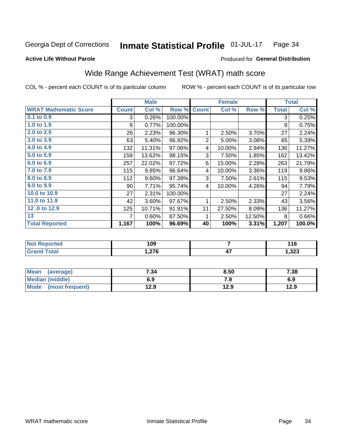#### Inmate Statistical Profile 01-JUL-17 Page 34

### **Active Life Without Parole**

### Produced for General Distribution

## Wide Range Achievement Test (WRAT) math score

COL % - percent each COUNT is of its particular column

|                              |              | <b>Male</b> |         |              | <b>Female</b> |        |              | <b>Total</b> |
|------------------------------|--------------|-------------|---------|--------------|---------------|--------|--------------|--------------|
| <b>WRAT Mathematic Score</b> | <b>Count</b> | Col %       | Row %   | <b>Count</b> | Col %         | Row %  | <b>Total</b> | Col %        |
| $0.1$ to $0.9$               | 3            | 0.26%       | 100.00% |              |               |        | 3            | 0.25%        |
| 1.0 to 1.9                   | 9            | 0.77%       | 100.00% |              |               |        | 9            | 0.75%        |
| 2.0 to 2.9                   | 26           | 2.23%       | 96.30%  | 1            | 2.50%         | 3.70%  | 27           | 2.24%        |
| 3.0 to 3.9                   | 63           | 5.40%       | 96.92%  | 2            | 5.00%         | 3.08%  | 65           | 5.39%        |
| 4.0 to 4.9                   | 132          | 11.31%      | 97.06%  | 4            | 10.00%        | 2.94%  | 136          | 11.27%       |
| 5.0 to 5.9                   | 159          | 13.62%      | 98.15%  | 3            | 7.50%         | 1.85%  | 162          | 13.42%       |
| 6.0 to 6.9                   | 257          | 22.02%      | 97.72%  | 6            | 15.00%        | 2.28%  | 263          | 21.79%       |
| 7.0 to 7.9                   | 115          | 9.85%       | 96.64%  | 4            | 10.00%        | 3.36%  | 119          | $9.86\%$     |
| 8.0 to 8.9                   | 112          | 9.60%       | 97.39%  | 3            | 7.50%         | 2.61%  | 115          | 9.53%        |
| 9.0 to 9.9                   | 90           | 7.71%       | 95.74%  | 4            | 10.00%        | 4.26%  | 94           | 7.79%        |
| 10.0 to 10.9                 | 27           | 2.31%       | 100.00% |              |               |        | 27           | 2.24%        |
| 11.0 to 11.9                 | 42           | 3.60%       | 97.67%  | 1            | 2.50%         | 2.33%  | 43           | 3.56%        |
| 12.0 to 12.9                 | 125          | 10.71%      | 91.91%  | 11           | 27.50%        | 8.09%  | 136          | 11.27%       |
| 13                           |              | 0.60%       | 87.50%  | 1            | 2.50%         | 12.50% | 8            | 0.66%        |
| <b>Total Reported</b>        | 1,167        | 100%        | 96.69%  | 40           | 100%          | 3.31%  | 1,207        | 100.0%       |
|                              |              |             |         |              |               |        |              |              |

| <b>Not</b><br>: Reported | 109    |            | 14 C<br>. |
|--------------------------|--------|------------|-----------|
| <b>Total</b>             | .276.، | . .<br>. . | ,323      |

| Mean (average)         | 7.34 | 8.50 | 7.38 |
|------------------------|------|------|------|
| <b>Median (middle)</b> | 6.9  | 7.9  | 6.9  |
| Mode (most frequent)   | 12.9 | 12.9 | 12.9 |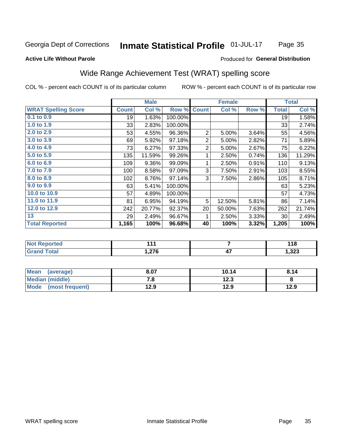#### Inmate Statistical Profile 01-JUL-17 Page 35

#### **Active Life Without Parole**

### Produced for General Distribution

## Wide Range Achievement Test (WRAT) spelling score

COL % - percent each COUNT is of its particular column

|                            |              | <b>Male</b> |                 |                | <b>Female</b>  |       |              | <b>Total</b> |
|----------------------------|--------------|-------------|-----------------|----------------|----------------|-------|--------------|--------------|
| <b>WRAT Spelling Score</b> | <b>Count</b> | Col %       | Row %           | <b>Count</b>   | Col %          | Row % | <b>Total</b> | Col %        |
| $0.1$ to $0.9$             | 19           | 1.63%       | 100.00%         |                |                |       | 19           | 1.58%        |
| 1.0 to 1.9                 | 33           | 2.83%       | 100.00%         |                |                |       | 33           | 2.74%        |
| 2.0 to 2.9                 | 53           | 4.55%       | 96.36%          | $\overline{2}$ | 5.00%          | 3.64% | 55           | 4.56%        |
| 3.0 to 3.9                 | 69           | 5.92%       | 97.18%          | $\mathbf{2}$   | 5.00%          | 2.82% | 71           | 5.89%        |
| 4.0 to 4.9                 | 73           | 6.27%       | 97.33%          | $\overline{2}$ | 5.00%          | 2.67% | 75           | 6.22%        |
| 5.0 to 5.9                 | 135          | 11.59%      | 99.26%          | 1              | 2.50%          | 0.74% | 136          | 11.29%       |
| 6.0 to 6.9                 | 109          | 9.36%       | 99.09%          | 1              | 2.50%          | 0.91% | 110          | 9.13%        |
| 7.0 to 7.9                 | 100          | 8.58%       | 97.09%          | 3              | 7.50%          | 2.91% | 103          | 8.55%        |
| 8.0 to 8.9                 | 102          | 8.76%       | 97.14%          | 3              | 7.50%          | 2.86% | 105          | 8.71%        |
| 9.0 to 9.9                 | 63           | 5.41%       | 100.00%         |                |                |       | 63           | 5.23%        |
| 10.0 to 10.9               | 57           | 4.89%       | 100.00%         |                |                |       | 57           | 4.73%        |
| 11.0 to $11.9$             | 81           | 6.95%       | 94.19%          | 5              | 12.50%         | 5.81% | 86           | 7.14%        |
| 12.0 to 12.9               | 242          | 20.77%      | 92.37%          | 20             | 50.00%         | 7.63% | 262          | 21.74%       |
| $\overline{13}$            | 29           | 2.49%       | 96.67%          | 1              | 2.50%          | 3.33% | 30           | 2.49%        |
| <b>Total Reported</b>      | 1,165        | 100%        | 96.68%          | 40             | 100%           | 3.32% | 1,205        | 100%         |
|                            |              |             |                 |                |                |       |              |              |
| <b>Not Reported</b>        |              | 111         |                 |                | $\overline{7}$ |       |              | 118          |
| <b>Grand Total</b>         | 1,276        |             | $\overline{47}$ |                |                | 1,323 |              |              |
|                            |              |             |                 |                |                |       |              |              |

| <b>Mean</b><br>(average)       | 8.07 | 10.14 | 8.14 |
|--------------------------------|------|-------|------|
| Median (middle)                | 7.a  | 12.3  |      |
| <b>Mode</b><br>(most frequent) | 12.9 | 12.9  | 12.9 |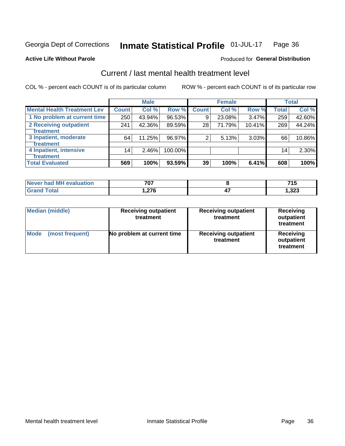#### Inmate Statistical Profile 01-JUL-17 Page 36

**Produced for General Distribution** 

## **Active Life Without Parole**

## Current / last mental health treatment level

COL % - percent each COUNT is of its particular column

|                                    |              | <b>Male</b> |         |              | <b>Female</b> |        |                 | <b>Total</b> |
|------------------------------------|--------------|-------------|---------|--------------|---------------|--------|-----------------|--------------|
| <b>Mental Health Treatment Lev</b> | <b>Count</b> | Col %       | Row %   | <b>Count</b> | Col %         | Row %  | <b>Total</b>    | Col %        |
| 1 No problem at current time       | 250          | 43.94%      | 96.53%  | 9            | 23.08%        | 3.47%  | 259             | 42.60%       |
| 2 Receiving outpatient             | 241          | 42.36%      | 89.59%  | 28           | 71.79%        | 10.41% | 269             | 44.24%       |
| <b>Treatment</b>                   |              |             |         |              |               |        |                 |              |
| 3 Inpatient, moderate              | 64           | 11.25%      | 96.97%  | 2            | 5.13%         | 3.03%  | 66              | 10.86%       |
| <b>Treatment</b>                   |              |             |         |              |               |        |                 |              |
| 4 Inpatient, intensive             | 14           | 2.46%       | 100.00% |              |               |        | 14 <sub>1</sub> | 2.30%        |
| Treatment                          |              |             |         |              |               |        |                 |              |
| <b>Total Evaluated</b>             | 569          | 100%        | 93.59%  | 39           | 100%          | 6.41%  | 608             | 100%         |

| Never had MH evaluation | 707                    | 741  |
|-------------------------|------------------------|------|
| Total                   | 07C<br>. . <i>l</i> IV | ,323 |

| <b>Median (middle)</b>         | <b>Receiving outpatient</b><br>treatment | <b>Receiving outpatient</b><br>treatment | <b>Receiving</b><br>outpatient<br>treatment |  |
|--------------------------------|------------------------------------------|------------------------------------------|---------------------------------------------|--|
| <b>Mode</b><br>(most frequent) | No problem at current time               | <b>Receiving outpatient</b><br>treatment | Receiving<br>outpatient<br>treatment        |  |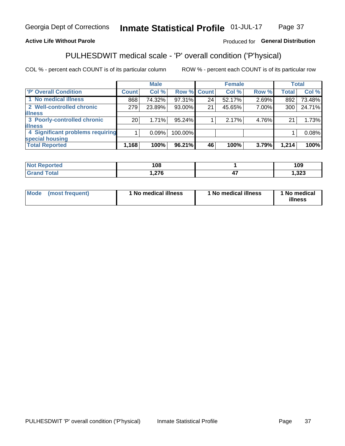#### Inmate Statistical Profile 01-JUL-17 Page 37

### **Active Life Without Parole**

### Produced for General Distribution

## PULHESDWIT medical scale - 'P' overall condition ('P'hysical)

COL % - percent each COUNT is of its particular column

|                                  |                 | <b>Male</b> |             |    | <b>Female</b> |       |              | <b>Total</b> |
|----------------------------------|-----------------|-------------|-------------|----|---------------|-------|--------------|--------------|
| 'P' Overall Condition            | Count l         | Col %       | Row % Count |    | Col %         | Row % | <b>Total</b> | Col %        |
| 1 No medical illness             | 868             | 74.32%      | 97.31%      | 24 | 52.17%        | 2.69% | 892          | 73.48%       |
| 2 Well-controlled chronic        | 279             | 23.89%      | 93.00%      | 21 | 45.65%        | 7.00% | 300          | 24.71%       |
| <b>illness</b>                   |                 |             |             |    |               |       |              |              |
| 3 Poorly-controlled chronic      | 20 <sub>1</sub> | 1.71%       | 95.24%      |    | 2.17%         | 4.76% | 21           | 1.73%        |
| <b>illness</b>                   |                 |             |             |    |               |       |              |              |
| 4 Significant problems requiring |                 | 0.09%       | 100.00%     |    |               |       |              | 0.08%        |
| special housing                  |                 |             |             |    |               |       |              |              |
| <b>Total Reported</b>            | 1,168           | 100%        | 96.21%      | 46 | 100%          | 3.79% | 1,214        | 100%         |

| нею    | 00<br>, uo | 109          |
|--------|------------|--------------|
| ______ | $\sim$     | ົາງາ<br>د∡د, |

| <b>Mode</b> | (most frequent) | 1 No medical illness | 1 No medical illness | 1 No medical<br>illness |
|-------------|-----------------|----------------------|----------------------|-------------------------|
|-------------|-----------------|----------------------|----------------------|-------------------------|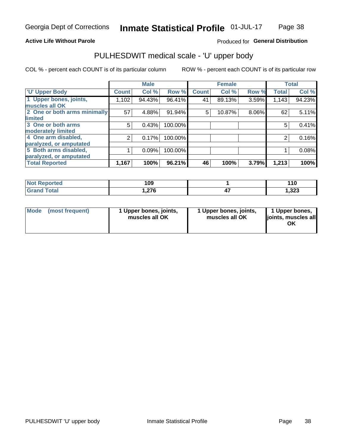### **Active Life Without Parole**

### Produced for General Distribution

## PULHESDWIT medical scale - 'U' upper body

COL % - percent each COUNT is of its particular column

|                              |               | <b>Male</b> |         |              | <b>Female</b> |       |              | <b>Total</b> |
|------------------------------|---------------|-------------|---------|--------------|---------------|-------|--------------|--------------|
| <b>U' Upper Body</b>         | <b>Count!</b> | Col %       | Row %   | <b>Count</b> | Col %         | Row % | <b>Total</b> | Col %        |
| 1 Upper bones, joints,       | 1,102         | 94.43%      | 96.41%  | 41           | 89.13%        | 3.59% | 1,143        | 94.23%       |
| muscles all OK               |               |             |         |              |               |       |              |              |
| 2 One or both arms minimally | 57            | 4.88%       | 91.94%  | 5            | 10.87%        | 8.06% | 62           | 5.11%        |
| limited                      |               |             |         |              |               |       |              |              |
| 3 One or both arms           | 5             | 0.43%       | 100.00% |              |               |       | 5            | 0.41%        |
| <b>moderately limited</b>    |               |             |         |              |               |       |              |              |
| 4 One arm disabled,          | 2             | 0.17%       | 100.00% |              |               |       | 2            | 0.16%        |
| paralyzed, or amputated      |               |             |         |              |               |       |              |              |
| 5 Both arms disabled,        |               | 0.09%       | 100.00% |              |               |       |              | 0.08%        |
| paralyzed, or amputated      |               |             |         |              |               |       |              |              |
| <b>Total Reported</b>        | 1,167         | 100%        | 96.21%  | 46           | 100%          | 3.79% | 1,213        | 100%         |

| <b>Not Reported</b> | 109            | 110   |
|---------------------|----------------|-------|
| <b>Grand Total</b>  | 27c<br>1.Z / 0 | .,323 |

|  | Mode (most frequent) | 1 Upper bones, joints,<br>muscles all OK | 1 Upper bones, joints,<br>muscles all OK | 1 Upper bones,<br>ljoints, muscles all<br>ΟK |
|--|----------------------|------------------------------------------|------------------------------------------|----------------------------------------------|
|--|----------------------|------------------------------------------|------------------------------------------|----------------------------------------------|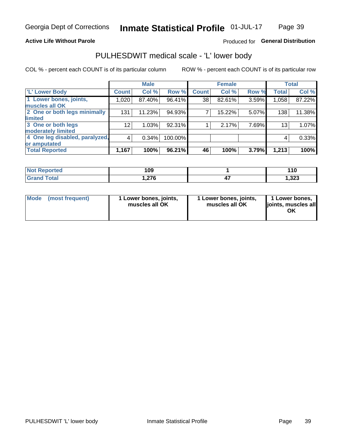### **Active Life Without Parole**

### Produced for General Distribution

## PULHESDWIT medical scale - 'L' lower body

COL % - percent each COUNT is of its particular column

|                                |                 | <b>Male</b> |         |              | <b>Female</b> |       |                 | <b>Total</b> |
|--------------------------------|-----------------|-------------|---------|--------------|---------------|-------|-----------------|--------------|
| 'L' Lower Body                 | <b>Count</b>    | Col %       | Row %   | <b>Count</b> | Col %         | Row % | <b>Total</b>    | Col %        |
| 1 Lower bones, joints,         | 1,020           | 87.40%      | 96.41%  | 38           | 82.61%        | 3.59% | 1,058           | 87.22%       |
| muscles all OK                 |                 |             |         |              |               |       |                 |              |
| 2 One or both legs minimally   | 131             | 11.23%      | 94.93%  | 7            | 15.22%        | 5.07% | 138             | 11.38%       |
| limited                        |                 |             |         |              |               |       |                 |              |
| 3 One or both legs             | 12 <sub>2</sub> | 1.03%       | 92.31%  |              | 2.17%         | 7.69% | 13 <sub>1</sub> | 1.07%        |
| moderately limited             |                 |             |         |              |               |       |                 |              |
| 4 One leg disabled, paralyzed, | $\overline{4}$  | 0.34%       | 100.00% |              |               |       | 4               | 0.33%        |
| or amputated                   |                 |             |         |              |               |       |                 |              |
| <b>Total Reported</b>          | 1,167           | 100%        | 96.21%  | 46           | 100%          | 3.79% | 1,213           | 100%         |

| <b>Not Reported</b> | 109   | 110  |
|---------------------|-------|------|
| <b>Grand Total</b>  | 1,276 | ,323 |

| Mode | (most frequent) | 1 Lower bones, joints,<br>muscles all OK | 1 Lower bones, joints,<br>muscles all OK | 1 Lower bones,<br>ljoints, muscles all<br>OK |
|------|-----------------|------------------------------------------|------------------------------------------|----------------------------------------------|
|------|-----------------|------------------------------------------|------------------------------------------|----------------------------------------------|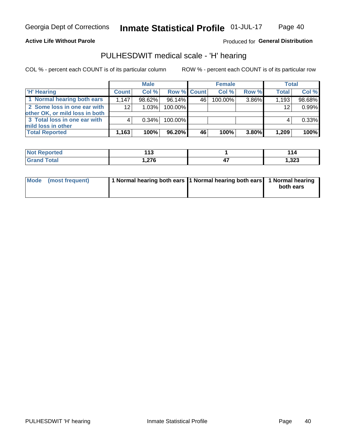### **Active Life Without Parole**

### Produced for General Distribution

## PULHESDWIT medical scale - 'H' hearing

COL % - percent each COUNT is of its particular column

|                                                               |              | <b>Male</b> |                    |     | <b>Female</b> |          | <b>Total</b>    |        |
|---------------------------------------------------------------|--------------|-------------|--------------------|-----|---------------|----------|-----------------|--------|
| <b>H' Hearing</b>                                             | <b>Count</b> | Col %       | <b>Row % Count</b> |     | Col %         | Row %    | <b>Total</b>    | Col %  |
| 1 Normal hearing both ears                                    | 1,147        | 98.62%      | 96.14%             | 46' | 100.00%       | 3.86%    | 1,193           | 98.68% |
| 2 Some loss in one ear with<br>other OK, or mild loss in both | 12           | 1.03%       | 100.00%            |     |               |          | 12 <sub>1</sub> | 0.99%  |
| 3 Total loss in one ear with                                  | 4            | $0.34\%$    | 100.00%            |     |               |          |                 | 0.33%  |
| mild loss in other<br><b>Total Reported</b>                   | 1,163        | 100%        | 96.20%             | 46  | 100%          | $3.80\%$ | 1,209           | 100%   |

| rted<br>NOI | $\overline{ }$<br>. .<br>. .<br>______ | - 14          |
|-------------|----------------------------------------|---------------|
| int         | $\sim$<br>. . <i>l</i> v               | າາາ<br>د∡د, ا |

| Mode (most frequent) | 1 Normal hearing both ears 1 Normal hearing both ears 1 Normal hearing | both ears |
|----------------------|------------------------------------------------------------------------|-----------|
|----------------------|------------------------------------------------------------------------|-----------|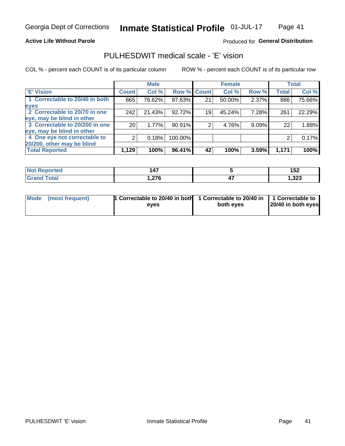**Active Life Without Parole** 

### Produced for General Distribution

## PULHESDWIT medical scale - 'E' vision

COL % - percent each COUNT is of its particular column

|                                |              | <b>Male</b> |         |             | <b>Female</b> |          |              | <b>Total</b> |
|--------------------------------|--------------|-------------|---------|-------------|---------------|----------|--------------|--------------|
| <b>E' Vision</b>               | <b>Count</b> | Col %       |         | Row % Count | Col%          | Row %    | <b>Total</b> | Col %        |
| 1 Correctable to 20/40 in both | 865          | 76.62%      | 97.63%  | 21          | 50.00%        | 2.37%    | 886          | 75.66%       |
| eyes                           |              |             |         |             |               |          |              |              |
| 2 Correctable to 20/70 in one  | 242          | 21.43%      | 92.72%  | 19          | 45.24%        | 7.28%l   | 261          | 22.29%       |
| eye, may be blind in other     |              |             |         |             |               |          |              |              |
| 3 Correctable to 20/200 in one | 20           | 1.77%       | 90.91%  |             | 4.76%         | $9.09\%$ | 22           | 1.88%        |
| eye, may be blind in other     |              |             |         |             |               |          |              |              |
| 4 One eye not correctable to   | 2            | 0.18%       | 100.00% |             |               |          | 2            | 0.17%        |
| 20/200, other may be blind     |              |             |         |             |               |          |              |              |
| <b>Total Reported</b>          | 1,129        | 100%        | 96.41%  | 42          | 100%          | 3.59%    | 1,171        | 100%         |

| <b>Not Reported</b> | $\overline{A7}$ |     | 1 E 2<br><b>_</b> |
|---------------------|-----------------|-----|-------------------|
| <b>Total</b>        | 27c             | . . | າາາ               |
| Grand               | 1.Z 7 0         | - 1 | د∡د,⊧             |

| Mode (most frequent) | <sup>1</sup> Correctable to 20/40 in both 1 Correctable to 20/40 in 1 Correctable to<br>eves | both eyes | 20/40 in both eyes |
|----------------------|----------------------------------------------------------------------------------------------|-----------|--------------------|
|                      |                                                                                              |           |                    |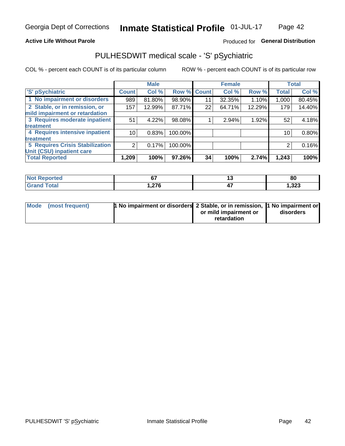### **Active Life Without Parole**

### Produced for General Distribution

## PULHESDWIT medical scale - 'S' pSychiatric

COL % - percent each COUNT is of its particular column

|                                        |                 | <b>Male</b> |         |              | <b>Female</b> |        |              | <b>Total</b> |
|----------------------------------------|-----------------|-------------|---------|--------------|---------------|--------|--------------|--------------|
| 'S' pSychiatric                        | <b>Count</b>    | Col %       | Row %   | <b>Count</b> | Col %         | Row %  | <b>Total</b> | Col %        |
| 1 No impairment or disorders           | 989             | 81.80%      | 98.90%  | 11           | 32.35%        | 1.10%  | 1,000        | 80.45%       |
| 2 Stable, or in remission, or          | 157             | 12.99%      | 87.71%  | 22           | 64.71%        | 12.29% | 179          | 14.40%       |
| mild impairment or retardation         |                 |             |         |              |               |        |              |              |
| 3 Requires moderate inpatient          | 51              | 4.22%       | 98.08%  |              | 2.94%         | 1.92%  | 52           | 4.18%        |
| treatment                              |                 |             |         |              |               |        |              |              |
| 4 Requires intensive inpatient         | 10 <sup>1</sup> | 0.83%       | 100.00% |              |               |        | 10           | 0.80%        |
| <b>treatment</b>                       |                 |             |         |              |               |        |              |              |
| <b>5 Requires Crisis Stabilization</b> | 2               | 0.17%       | 100.00% |              |               |        | 2            | 0.16%        |
| Unit (CSU) inpatient care              |                 |             |         |              |               |        |              |              |
| <b>Total Reported</b>                  | 1,209           | 100%        | 97.26%  | 34           | 100%          | 2.74%  | 1,243        | 100%         |

| Reported<br><b>NOT</b> | $\sim$          | 80    |
|------------------------|-----------------|-------|
| <b>Total</b>           | $\sim$<br>ט ובו | 1,323 |

| Mode (most frequent) | <b>1 No impairment or disorders</b> 2 Stable, or in remission, 11 No impairment or |                       |           |
|----------------------|------------------------------------------------------------------------------------|-----------------------|-----------|
|                      |                                                                                    | or mild impairment or | disorders |
|                      |                                                                                    | retardation           |           |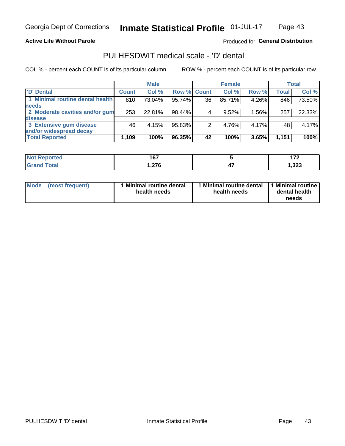### **Active Life Without Parole**

### Produced for General Distribution

## PULHESDWIT medical scale - 'D' dental

COL % - percent each COUNT is of its particular column

|                                 |              | <b>Male</b> |        |             | <b>Female</b> |       |              | Total  |
|---------------------------------|--------------|-------------|--------|-------------|---------------|-------|--------------|--------|
| D' Dental                       | <b>Count</b> | Col %       |        | Row % Count | Col %         | Row % | <b>Total</b> | Col %  |
| 1 Minimal routine dental health | 810          | 73.04%      | 95.74% | 36          | 85.71%        | 4.26% | 846          | 73.50% |
| <b>needs</b>                    |              |             |        |             |               |       |              |        |
| 2 Moderate cavities and/or gum  | 253          | 22.81%      | 98.44% |             | 9.52%         | 1.56% | 257          | 22.33% |
| disease                         |              |             |        |             |               |       |              |        |
| 3 Extensive gum disease         | 46           | 4.15%       | 95.83% |             | 4.76%         | 4.17% | 48           | 4.17%  |
| and/or widespread decay         |              |             |        |             |               |       |              |        |
| <b>Total Reported</b>           | 1,109        | 100%        | 96.35% | 42          | 100%          | 3.65% | 1,151        | 100%   |

| rtea          | <b>467</b><br>וטו      |                | $\overline{\phantom{a}}$ |
|---------------|------------------------|----------------|--------------------------|
| <b>c</b> otal | $\sim$<br>. . <i>4</i> | --<br>"<br>- 1 | .323                     |

| <b>Mode</b>     | Minimal routine dental | 1 Minimal routine dental 1 Minimal routine | dental health |
|-----------------|------------------------|--------------------------------------------|---------------|
| (most frequent) | health needs           | health needs                               | needs         |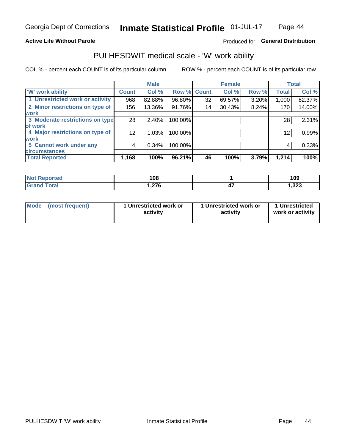### **Active Life Without Parole**

### Produced for General Distribution

### PULHESDWIT medical scale - 'W' work ability

COL % - percent each COUNT is of its particular column

|                                 |                 | <b>Male</b> |         |             | <b>Female</b> |       |              | <b>Total</b> |
|---------------------------------|-----------------|-------------|---------|-------------|---------------|-------|--------------|--------------|
| <b>W' work ability</b>          | <b>Count</b>    | Col %       |         | Row % Count | Col %         | Row % | <b>Total</b> | Col %        |
| 1 Unrestricted work or activity | 968             | 82.88%      | 96.80%  | 32          | 69.57%        | 3.20% | 1,000        | 82.37%       |
| 2 Minor restrictions on type of | 156             | 13.36%      | 91.76%  | 14          | 30.43%        | 8.24% | 170          | 14.00%       |
| <b>work</b>                     |                 |             |         |             |               |       |              |              |
| 3 Moderate restrictions on type | 28              | $2.40\%$    | 100.00% |             |               |       | 28           | 2.31%        |
| lof work                        |                 |             |         |             |               |       |              |              |
| 4 Major restrictions on type of | 12 <sub>1</sub> | 1.03%       | 100.00% |             |               |       | 12           | 0.99%        |
| <b>work</b>                     |                 |             |         |             |               |       |              |              |
| 5 Cannot work under any         | 4               | 0.34%       | 100.00% |             |               |       | 4            | 0.33%        |
| <b>circumstances</b>            |                 |             |         |             |               |       |              |              |
| <b>Total Reported</b>           | 1,168           | 100%        | 96.21%  | 46          | 100%          | 3.79% | 1,214        | 100%         |

| <b>Not Reported</b>     | 108                   | 109   |
|-------------------------|-----------------------|-------|
| <b>Total</b><br>' Grand | <b>276</b><br>1.Z I V | 1,323 |

| Mode (most frequent) | 1 Unrestricted work or | 1 Unrestricted work or | 1 Unrestricted   |
|----------------------|------------------------|------------------------|------------------|
|                      | activity               | activity               | work or activity |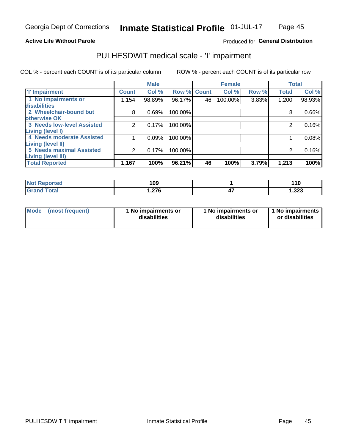### **Active Life Without Parole**

### Produced for General Distribution

## PULHESDWIT medical scale - 'I' impairment

COL % - percent each COUNT is of its particular column ROW % - percent each COUNT is of its particular row

|                                                              |              | <b>Male</b> |             |    | <b>Female</b> |       |              | <b>Total</b> |
|--------------------------------------------------------------|--------------|-------------|-------------|----|---------------|-------|--------------|--------------|
| <b>T' Impairment</b>                                         | <b>Count</b> | Col %       | Row % Count |    | Col %         | Row % | <b>Total</b> | Col %        |
| 1 No impairments or<br>disabilities                          | 1,154        | 98.89%      | 96.17%      | 46 | 100.00%       | 3.83% | 1,200        | 98.93%       |
| 2 Wheelchair-bound but                                       | 8            | 0.69%       | 100.00%     |    |               |       | 8            | 0.66%        |
| otherwise OK<br><b>3 Needs low-level Assisted</b>            |              | 0.17%       | 100.00%     |    |               |       |              | 0.16%        |
| Living (level I)<br>4 Needs moderate Assisted                |              | 0.09%       | 100.00%     |    |               |       |              | 0.08%        |
| Living (level II)                                            |              |             |             |    |               |       |              |              |
| <b>5 Needs maximal Assisted</b><br><b>Living (level III)</b> | 2            | 0.17%       | 100.00%     |    |               |       |              | 0.16%        |
| <b>Total Reported</b>                                        | 1,167        | 100%        | 96.21%      | 46 | 100%          | 3.79% | 1,213        | 100%         |

| eported      | 109 | 110   |
|--------------|-----|-------|
| <b>cotal</b> | 27c | 1,323 |

| Mode | (most frequent) | 1 No impairments or<br>disabilities | 1 No impairments or<br>disabilities | 1 No impairments<br>or disabilities |
|------|-----------------|-------------------------------------|-------------------------------------|-------------------------------------|
|------|-----------------|-------------------------------------|-------------------------------------|-------------------------------------|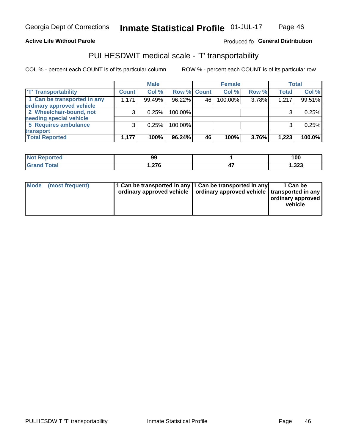### **Active Life Without Parole**

### Produced fo General Distribution

## PULHESDWIT medical scale - 'T' transportability

COL % - percent each COUNT is of its particular column

|                             |              | <b>Male</b> |             |    | <b>Female</b> |       |              | <b>Total</b> |
|-----------------------------|--------------|-------------|-------------|----|---------------|-------|--------------|--------------|
| <b>T' Transportability</b>  | <b>Count</b> | Col %       | Row % Count |    | Col %         | Row % | <b>Total</b> | Col %        |
| 1 Can be transported in any | 1,171        | 99.49%      | 96.22%      | 46 | 100.00%       | 3.78% | 1,217        | 99.51%       |
| ordinary approved vehicle   |              |             |             |    |               |       |              |              |
| 2 Wheelchair-bound, not     |              | 0.25%       | 100.00%     |    |               |       |              | 0.25%        |
| needing special vehicle     |              |             |             |    |               |       |              |              |
| 5 Requires ambulance        |              | 0.25%       | 100.00%     |    |               |       |              | 0.25%        |
| transport                   |              |             |             |    |               |       |              |              |
| <b>Total Reported</b>       | 1,177        | 100%        | 96.24%      | 46 | 100%          | 3.76% | 1,223        | 100.0%       |

| NI (<br>oortea | 99                 |     | 100   |
|----------------|--------------------|-----|-------|
|                | <b>270</b><br>.210 | . . | 1,323 |

| Mode (most frequent) | 1 Can be transported in any 1 Can be transported in any | ordinary approved vehicle   ordinary approved vehicle   transported in any | 1 Can be<br>ordinary approved<br>vehicle |
|----------------------|---------------------------------------------------------|----------------------------------------------------------------------------|------------------------------------------|
|                      |                                                         |                                                                            |                                          |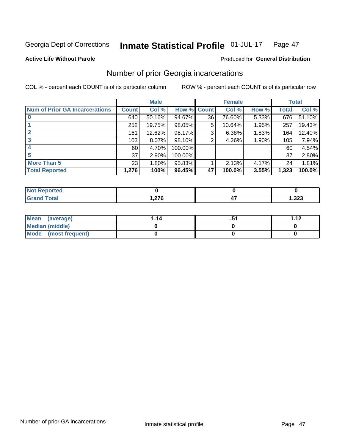#### Inmate Statistical Profile 01-JUL-17 Page 47

#### **Active Life Without Parole**

### Produced for General Distribution

## Number of prior Georgia incarcerations

COL % - percent each COUNT is of its particular column

|                                       |              | <b>Male</b> |                    |    | <b>Female</b> |          |       | <b>Total</b> |
|---------------------------------------|--------------|-------------|--------------------|----|---------------|----------|-------|--------------|
| <b>Num of Prior GA Incarcerations</b> | <b>Count</b> | Col %       | <b>Row % Count</b> |    | Col %         | Row %    | Total | Col %        |
|                                       | 640          | 50.16%      | 94.67%             | 36 | 76.60%        | 5.33%    | 676   | 51.10%       |
|                                       | 252          | 19.75%      | 98.05%             | 5  | 10.64%        | 1.95%    | 257   | 19.43%       |
|                                       | 161          | 12.62%      | 98.17%             | 3  | 6.38%         | 1.83%    | 164   | 12.40%       |
| 3                                     | 103          | 8.07%       | 98.10%             | 2  | 4.26%         | $1.90\%$ | 105   | 7.94%        |
| 4                                     | 60           | 4.70%       | 100.00%            |    |               |          | 60    | 4.54%        |
| 5                                     | 37           | 2.90%       | 100.00%            |    |               |          | 37    | 2.80%        |
| <b>More Than 5</b>                    | 23           | 1.80%       | 95.83%             |    | 2.13%         | 4.17%    | 24    | 1.81%        |
| <b>Total Reported</b>                 | 1,276        | 100%        | 96.45%             | 47 | 100.0%        | 3.55%    | 1,323 | 100.0%       |

| orted<br><b>NI</b>               |                 |       |
|----------------------------------|-----------------|-------|
| <b>Total</b><br>$\mathbf{v}$ and | 270<br>$\ldots$ | 1,323 |

| Mean (average)         | 1.14 | <br><b>1 1つ</b> |
|------------------------|------|-----------------|
| <b>Median (middle)</b> |      |                 |
| Mode (most frequent)   |      |                 |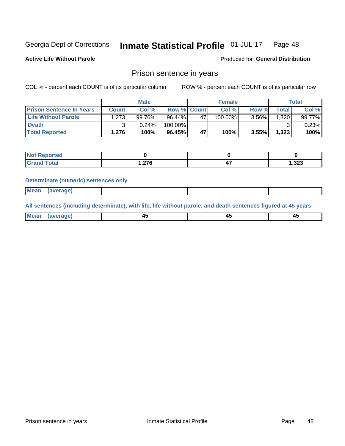#### Inmate Statistical Profile 01-JUL-17 Page 48

**Active Life Without Parole** 

Produced for General Distribution

### Prison sentence in years

COL % - percent each COUNT is of its particular column

ROW % - percent each COUNT is of its particular row

|                                 |              | <b>Male</b> |                    |    | <b>Female</b> | Total |       |           |
|---------------------------------|--------------|-------------|--------------------|----|---------------|-------|-------|-----------|
| <b>Prison Sentence In Years</b> | <b>Count</b> | Col %       | <b>Row % Count</b> |    | Col %         | Row % | Total | Col %     |
| <b>Life Without Parole</b>      | 1,273        | 99.76%      | 96.44%             | 47 | 100.00%       | 3.56% | 1.320 | $99.77\%$ |
| <b>Death</b>                    |              | 0.24%       | 100.00%            |    |               |       |       | $0.23\%$  |
| <b>Total Reported</b>           | 1,276        | 100%        | 96.45%             | 47 | 100%          | 3.55% | 1,323 | 100%      |

| ported<br><b>NOT</b> |                         |       |
|----------------------|-------------------------|-------|
| <b>Total</b>         | 07C<br>. . <i>4</i> 1 0 | 1,323 |

#### **Determinate (numeric) sentences only**

| ' Mea<br><b>Service</b> A<br>ЯМА. |  |  |  |
|-----------------------------------|--|--|--|
|                                   |  |  |  |

All sentences (including determinate), with life, life without parole, and death sentences figured at 45 years

| MС<br>a r -<br>-- |         |  |  |
|-------------------|---------|--|--|
|                   | ------- |  |  |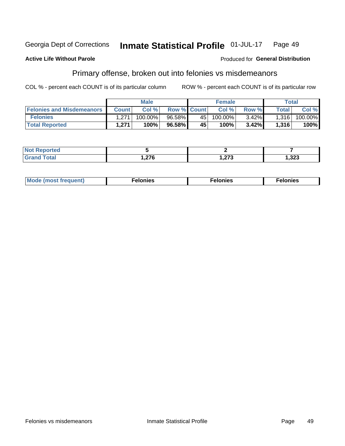#### Georgia Dept of Corrections Inmate Statistical Profile 01-JUL-17 Page 49

#### **Active Life Without Parole**

### Produced for General Distribution

## Primary offense, broken out into felonies vs misdemeanors

COL % - percent each COUNT is of its particular column

|                                  | <b>Male</b>  |         |                    | <b>Female</b> |         |          | Total              |         |
|----------------------------------|--------------|---------|--------------------|---------------|---------|----------|--------------------|---------|
| <b>Felonies and Misdemeanors</b> | <b>Count</b> | Col%    | <b>Row % Count</b> |               | Col%    | Row %    | Total <sub>1</sub> | Col %   |
| <b>Felonies</b>                  | 1.271        | 100.00% | $96.58\%$          | 45 l          | 100.00% | $3.42\%$ | 1,316              | 100.00% |
| <b>Total Reported</b>            | 1.271        | 100%    | 96.58%             | 45            | 100%    | 3.42%    | 1,316              | 100%    |

| <b>Not Reported</b>          |              |             |       |
|------------------------------|--------------|-------------|-------|
| <b>Total</b><br>Grand<br>uuu | 27c<br>1.ZIV | 072<br>54 J | 1,323 |

| <b>Mode</b><br>frequent)<br>nies<br>≧ (most tr.<br>. | onies<br>. | lonies<br>ею<br>____ |
|------------------------------------------------------|------------|----------------------|
|------------------------------------------------------|------------|----------------------|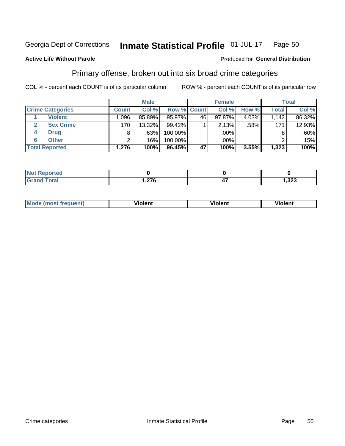#### Inmate Statistical Profile 01-JUL-17 Page 50

### **Active Life Without Parole**

### Produced for General Distribution

## Primary offense, broken out into six broad crime categories

COL % - percent each COUNT is of its particular column

|                         | <b>Male</b>  |        |         | <b>Female</b> |        |       | <b>Total</b> |        |
|-------------------------|--------------|--------|---------|---------------|--------|-------|--------------|--------|
| <b>Crime Categories</b> | <b>Count</b> | Col %  |         | Row % Count   | Col %  | Row % | <b>Total</b> | Col %  |
| <b>Violent</b>          | .096         | 85.89% | 95.97%  | 46            | 97.87% | 4.03% | 1,142        | 86.32% |
| <b>Sex Crime</b>        | 170          | 13.32% | 99.42%  |               | 2.13%  | .58%  | 171          | 12.93% |
| <b>Drug</b><br>4        | 8            | .63%   | 100.00% |               | .00%   |       |              | .60%   |
| <b>Other</b><br>6       | ົ            | .16%   | 100.00% |               | .00%   |       |              | .15%   |
| <b>Total Reported</b>   | 1,276        | 100%   | 96.45%  | 47            | 100%   | 3.55% | 1,323        | 100%   |

| <b>State Administration</b><br><b>NOT Reported</b><br>$\sim$ |        |                |
|--------------------------------------------------------------|--------|----------------|
| $T0+0'$                                                      | $\sim$ | ົດດດ<br>د∡د, ا |

| <b>Mode (most frequent)</b> |         |                | --             |
|-----------------------------|---------|----------------|----------------|
|                             | violent | <b>Violent</b> | <b>Violent</b> |
|                             |         |                |                |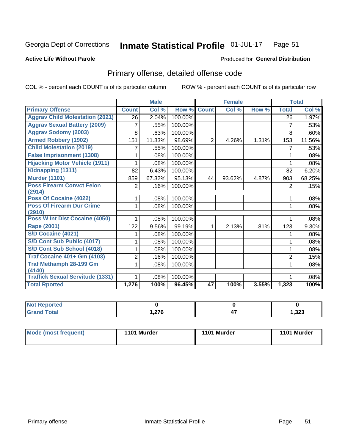#### Inmate Statistical Profile 01-JUL-17 Page 51

### **Active Life Without Parole**

### Produced for General Distribution

## Primary offense, detailed offense code

COL % - percent each COUNT is of its particular column

|                                            |                | <b>Male</b> |         |                | <b>Female</b> |       |                | <b>Total</b> |
|--------------------------------------------|----------------|-------------|---------|----------------|---------------|-------|----------------|--------------|
| <b>Primary Offense</b>                     | <b>Count</b>   | Col %       | Row %   | <b>Count</b>   | Col %         | Row % | <b>Total</b>   | Col %        |
| <b>Aggrav Child Molestation (2021)</b>     | 26             | 2.04%       | 100.00% |                |               |       | 26             | 1.97%        |
| <b>Aggrav Sexual Battery (2009)</b>        | 7              | .55%        | 100.00% |                |               |       | 7              | .53%         |
| <b>Aggrav Sodomy (2003)</b>                | 8              | .63%        | 100.00% |                |               |       | 8              | .60%         |
| <b>Armed Robbery (1902)</b>                | 151            | 11.83%      | 98.69%  | $\overline{2}$ | 4.26%         | 1.31% | 153            | 11.56%       |
| <b>Child Molestation (2019)</b>            |                | .55%        | 100.00% |                |               |       | 7              | .53%         |
| <b>False Imprisonment (1308)</b>           |                | .08%        | 100.00% |                |               |       | 1              | .08%         |
| <b>Hijacking Motor Vehicle (1911)</b>      |                | .08%        | 100.00% |                |               |       |                | .08%         |
| Kidnapping (1311)                          | 82             | 6.43%       | 100.00% |                |               |       | 82             | 6.20%        |
| <b>Murder (1101)</b>                       | 859            | 67.32%      | 95.13%  | 44             | 93.62%        | 4.87% | 903            | 68.25%       |
| <b>Poss Firearm Convct Felon</b>           | $\overline{2}$ | .16%        | 100.00% |                |               |       | 2              | .15%         |
| (2914)                                     |                |             |         |                |               |       |                |              |
| Poss Of Cocaine (4022)                     |                | .08%        | 100.00% |                |               |       | 1              | .08%         |
| <b>Poss Of Firearm Dur Crime</b><br>(2910) | 1              | .08%        | 100.00% |                |               |       | 1              | .08%         |
| Poss W Int Dist Cocaine (4050)             |                | .08%        | 100.00% |                |               |       |                | .08%         |
| Rape (2001)                                | 122            | 9.56%       | 99.19%  | 1              | 2.13%         | .81%  | 123            | 9.30%        |
| S/D Cocaine (4021)                         |                | .08%        | 100.00% |                |               |       |                | .08%         |
| S/D Cont Sub Public (4017)                 |                | .08%        | 100.00% |                |               |       | 1              | .08%         |
| S/D Cont Sub School (4018)                 |                | .08%        | 100.00% |                |               |       | 1              | .08%         |
| <b>Traf Cocaine 401+ Gm (4103)</b>         | 2              | .16%        | 100.00% |                |               |       | $\overline{2}$ | .15%         |
| <b>Traf Methamph 28-199 Gm</b>             | 1              | .08%        | 100.00% |                |               |       | 1              | .08%         |
| (4140)                                     |                |             |         |                |               |       |                |              |
| <b>Traffick Sexual Servitude (1331)</b>    |                | .08%        | 100.00% |                |               |       | 1              | .08%         |
| <b>Total Rported</b>                       | 1,276          | 100%        | 96.45%  | 47             | 100%          | 3.55% | 1,323          | 100%         |

| Reported<br><b>NOT</b> |                  |                       |       |
|------------------------|------------------|-----------------------|-------|
| <b>Total</b>           | $\sim$<br>1.ZI U | $\overline{a}$<br>- 1 | 1,323 |

| Mode (most frequent) | 1101 Murder | 1101 Murder | 1101 Murder |
|----------------------|-------------|-------------|-------------|
|                      |             |             |             |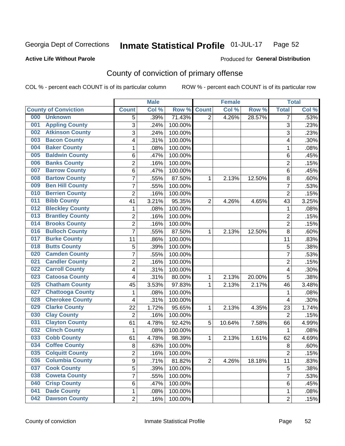#### Inmate Statistical Profile 01-JUL-17 Page 52

### **Active Life Without Parole**

### Produced for General Distribution

## County of conviction of primary offense

COL % - percent each COUNT is of its particular column

|                                |                | <b>Male</b> |         |                | <b>Female</b> |        |                | <b>Total</b> |
|--------------------------------|----------------|-------------|---------|----------------|---------------|--------|----------------|--------------|
| <b>County of Conviction</b>    | <b>Count</b>   | Col %       | Row %   | <b>Count</b>   | Col %         | Row %  | <b>Total</b>   | Col %        |
| 000<br><b>Unknown</b>          | 5              | .39%        | 71.43%  | $\overline{2}$ | 4.26%         | 28.57% | 7              | .53%         |
| <b>Appling County</b><br>001   | 3              | .24%        | 100.00% |                |               |        | 3              | .23%         |
| <b>Atkinson County</b><br>002  | 3              | .24%        | 100.00% |                |               |        | 3              | .23%         |
| <b>Bacon County</b><br>003     | 4              | .31%        | 100.00% |                |               |        | 4              | .30%         |
| <b>Baker County</b><br>004     | $\mathbf{1}$   | .08%        | 100.00% |                |               |        | $\mathbf{1}$   | .08%         |
| <b>Baldwin County</b><br>005   | 6              | .47%        | 100.00% |                |               |        | 6              | .45%         |
| <b>Banks County</b><br>006     | $\overline{2}$ | .16%        | 100.00% |                |               |        | $\overline{2}$ | .15%         |
| <b>Barrow County</b><br>007    | 6              | .47%        | 100.00% |                |               |        | 6              | .45%         |
| <b>Bartow County</b><br>008    | $\overline{7}$ | .55%        | 87.50%  | 1              | 2.13%         | 12.50% | 8              | .60%         |
| <b>Ben Hill County</b><br>009  | $\overline{7}$ | .55%        | 100.00% |                |               |        | 7              | .53%         |
| <b>Berrien County</b><br>010   | $\overline{2}$ | .16%        | 100.00% |                |               |        | $\overline{2}$ | .15%         |
| <b>Bibb County</b><br>011      | 41             | 3.21%       | 95.35%  | $\overline{2}$ | 4.26%         | 4.65%  | 43             | 3.25%        |
| <b>Bleckley County</b><br>012  | $\mathbf{1}$   | .08%        | 100.00% |                |               |        | $\mathbf{1}$   | .08%         |
| <b>Brantley County</b><br>013  | $\overline{2}$ | .16%        | 100.00% |                |               |        | $\overline{2}$ | .15%         |
| <b>Brooks County</b><br>014    | $\overline{2}$ | .16%        | 100.00% |                |               |        | $\overline{2}$ | .15%         |
| <b>Bulloch County</b><br>016   | $\overline{7}$ | .55%        | 87.50%  | 1              | 2.13%         | 12.50% | 8              | .60%         |
| <b>Burke County</b><br>017     | 11             | .86%        | 100.00% |                |               |        | 11             | .83%         |
| <b>Butts County</b><br>018     | 5              | .39%        | 100.00% |                |               |        | 5              | .38%         |
| <b>Camden County</b><br>020    | $\overline{7}$ | .55%        | 100.00% |                |               |        | $\overline{7}$ | .53%         |
| <b>Candler County</b><br>021   | $\overline{2}$ | .16%        | 100.00% |                |               |        | $\overline{2}$ | .15%         |
| <b>Carroll County</b><br>022   | 4              | .31%        | 100.00% |                |               |        | 4              | .30%         |
| <b>Catoosa County</b><br>023   | 4              | .31%        | 80.00%  | 1              | 2.13%         | 20.00% | 5              | .38%         |
| <b>Chatham County</b><br>025   | 45             | 3.53%       | 97.83%  | 1              | 2.13%         | 2.17%  | 46             | 3.48%        |
| <b>Chattooga County</b><br>027 | 1              | .08%        | 100.00% |                |               |        | 1              | .08%         |
| <b>Cherokee County</b><br>028  | 4              | .31%        | 100.00% |                |               |        | 4              | .30%         |
| <b>Clarke County</b><br>029    | 22             | 1.72%       | 95.65%  | 1              | 2.13%         | 4.35%  | 23             | 1.74%        |
| <b>Clay County</b><br>030      | $\overline{2}$ | .16%        | 100.00% |                |               |        | $\overline{2}$ | .15%         |
| <b>Clayton County</b><br>031   | 61             | 4.78%       | 92.42%  | 5              | 10.64%        | 7.58%  | 66             | 4.99%        |
| <b>Clinch County</b><br>032    | $\mathbf{1}$   | .08%        | 100.00% |                |               |        | $\mathbf{1}$   | .08%         |
| <b>Cobb County</b><br>033      | 61             | 4.78%       | 98.39%  | 1              | 2.13%         | 1.61%  | 62             | 4.69%        |
| <b>Coffee County</b><br>034    | 8              | .63%        | 100.00% |                |               |        | 8              | .60%         |
| 035<br><b>Colquitt County</b>  | 2              | .16%        | 100.00% |                |               |        | 2              | .15%         |
| <b>Columbia County</b><br>036  | 9              | .71%        | 81.82%  | $\overline{2}$ | 4.26%         | 18.18% | 11             | .83%         |
| <b>Cook County</b><br>037      | 5              | .39%        | 100.00% |                |               |        | 5              | .38%         |
| <b>Coweta County</b><br>038    | $\overline{7}$ | .55%        | 100.00% |                |               |        | $\overline{7}$ | .53%         |
| <b>Crisp County</b><br>040     | 6              | .47%        | 100.00% |                |               |        | 6              | .45%         |
| <b>Dade County</b><br>041      | $\mathbf 1$    | .08%        | 100.00% |                |               |        | 1              | .08%         |
| <b>Dawson County</b><br>042    | $\overline{2}$ | .16%        | 100.00% |                |               |        | $\overline{2}$ | .15%         |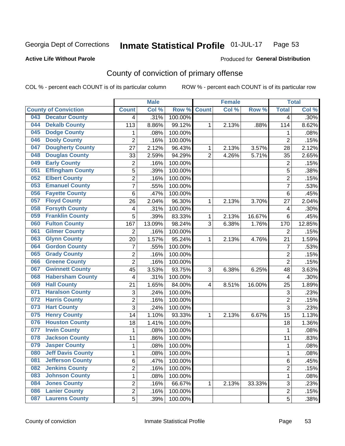#### Inmate Statistical Profile 01-JUL-17 Page 53

**Active Life Without Parole** 

Produced for General Distribution

## County of conviction of primary offense

COL % - percent each COUNT is of its particular column

|                                 |                         | <b>Male</b> |         |                | <b>Female</b> |        |                         | <b>Total</b> |
|---------------------------------|-------------------------|-------------|---------|----------------|---------------|--------|-------------------------|--------------|
| <b>County of Conviction</b>     | <b>Count</b>            | Col %       | Row %   | <b>Count</b>   | Col %         | Row %  | <b>Total</b>            | Col %        |
| <b>Decatur County</b><br>043    | 4                       | .31%        | 100.00% |                |               |        | 4                       | .30%         |
| <b>Dekalb County</b><br>044     | 113                     | 8.86%       | 99.12%  | 1              | 2.13%         | .88%   | 114                     | 8.62%        |
| <b>Dodge County</b><br>045      | 1                       | .08%        | 100.00% |                |               |        | 1                       | .08%         |
| <b>Dooly County</b><br>046      | $\overline{2}$          | .16%        | 100.00% |                |               |        | $\overline{2}$          | .15%         |
| <b>Dougherty County</b><br>047  | 27                      | 2.12%       | 96.43%  | 1              | 2.13%         | 3.57%  | 28                      | 2.12%        |
| <b>Douglas County</b><br>048    | 33                      | 2.59%       | 94.29%  | $\overline{2}$ | 4.26%         | 5.71%  | 35                      | 2.65%        |
| <b>Early County</b><br>049      | 2                       | .16%        | 100.00% |                |               |        | $\overline{\mathbf{c}}$ | .15%         |
| <b>Effingham County</b><br>051  | 5                       | .39%        | 100.00% |                |               |        | 5                       | .38%         |
| <b>Elbert County</b><br>052     | 2                       | .16%        | 100.00% |                |               |        | $\overline{2}$          | .15%         |
| <b>Emanuel County</b><br>053    | 7                       | .55%        | 100.00% |                |               |        | $\overline{7}$          | .53%         |
| <b>Fayette County</b><br>056    | $\,6$                   | .47%        | 100.00% |                |               |        | 6                       | .45%         |
| <b>Floyd County</b><br>057      | 26                      | 2.04%       | 96.30%  | 1              | 2.13%         | 3.70%  | 27                      | 2.04%        |
| <b>Forsyth County</b><br>058    | 4                       | .31%        | 100.00% |                |               |        | 4                       | .30%         |
| <b>Franklin County</b><br>059   | 5                       | .39%        | 83.33%  | 1              | 2.13%         | 16.67% | 6                       | .45%         |
| <b>Fulton County</b><br>060     | 167                     | 13.09%      | 98.24%  | 3              | 6.38%         | 1.76%  | 170                     | 12.85%       |
| <b>Gilmer County</b><br>061     | $\overline{2}$          | .16%        | 100.00% |                |               |        | $\overline{2}$          | .15%         |
| <b>Glynn County</b><br>063      | 20                      | 1.57%       | 95.24%  | 1              | 2.13%         | 4.76%  | 21                      | 1.59%        |
| <b>Gordon County</b><br>064     | 7                       | .55%        | 100.00% |                |               |        | 7                       | .53%         |
| <b>Grady County</b><br>065      | 2                       | .16%        | 100.00% |                |               |        | $\overline{2}$          | .15%         |
| <b>Greene County</b><br>066     | $\overline{2}$          | .16%        | 100.00% |                |               |        | $\overline{2}$          | .15%         |
| <b>Gwinnett County</b><br>067   | 45                      | 3.53%       | 93.75%  | 3              | 6.38%         | 6.25%  | 48                      | 3.63%        |
| <b>Habersham County</b><br>068  | $\overline{\mathbf{4}}$ | .31%        | 100.00% |                |               |        | 4                       | .30%         |
| <b>Hall County</b><br>069       | 21                      | 1.65%       | 84.00%  | 4              | 8.51%         | 16.00% | 25                      | 1.89%        |
| <b>Haralson County</b><br>071   | 3                       | .24%        | 100.00% |                |               |        | $\sqrt{3}$              | .23%         |
| <b>Harris County</b><br>072     | 2                       | .16%        | 100.00% |                |               |        | 2                       | .15%         |
| 073<br><b>Hart County</b>       | 3                       | .24%        | 100.00% |                |               |        | 3                       | .23%         |
| <b>Henry County</b><br>075      | 14                      | 1.10%       | 93.33%  | 1              | 2.13%         | 6.67%  | 15                      | 1.13%        |
| <b>Houston County</b><br>076    | 18                      | 1.41%       | 100.00% |                |               |        | 18                      | 1.36%        |
| <b>Irwin County</b><br>077      | 1                       | .08%        | 100.00% |                |               |        | 1                       | .08%         |
| <b>Jackson County</b><br>078    | 11                      | .86%        | 100.00% |                |               |        | 11                      | .83%         |
| <b>Jasper County</b><br>079     | 1                       | .08%        | 100.00% |                |               |        | 1                       | .08%         |
| <b>Jeff Davis County</b><br>080 | 1                       | .08%        | 100.00% |                |               |        | 1                       | .08%         |
| <b>Jefferson County</b><br>081  | 6                       | .47%        | 100.00% |                |               |        | 6                       | .45%         |
| <b>Jenkins County</b><br>082    | $\overline{2}$          | .16%        | 100.00% |                |               |        | $\overline{2}$          | .15%         |
| <b>Johnson County</b><br>083    | 1                       | .08%        | 100.00% |                |               |        | $\mathbf 1$             | .08%         |
| <b>Jones County</b><br>084      | $\overline{2}$          | .16%        | 66.67%  | 1              | 2.13%         | 33.33% | 3                       | .23%         |
| <b>Lanier County</b><br>086     | $\overline{2}$          | .16%        | 100.00% |                |               |        | $\overline{2}$          | .15%         |
| <b>Laurens County</b><br>087    | 5                       | .39%        | 100.00% |                |               |        | 5                       | .38%         |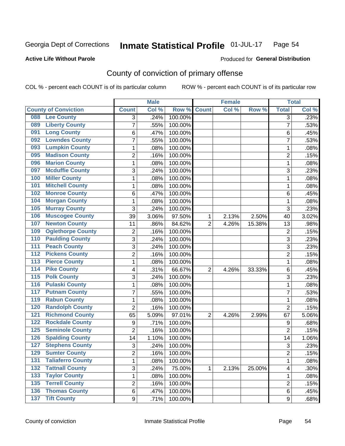#### Inmate Statistical Profile 01-JUL-17 Page 54

### **Active Life Without Parole**

### Produced for General Distribution

## County of conviction of primary offense

COL % - percent each COUNT is of its particular column

|                                            |                | <b>Male</b> |         |                | <b>Female</b> |        |                | <b>Total</b> |
|--------------------------------------------|----------------|-------------|---------|----------------|---------------|--------|----------------|--------------|
| <b>County of Conviction</b>                | <b>Count</b>   | Col %       | Row %   | <b>Count</b>   | Col %         | Row %  | <b>Total</b>   | Col %        |
| <b>Lee County</b><br>088                   | 3              | .24%        | 100.00% |                |               |        | $\overline{3}$ | .23%         |
| <b>Liberty County</b><br>089               | 7              | .55%        | 100.00% |                |               |        | $\overline{7}$ | .53%         |
| <b>Long County</b><br>091                  | 6              | .47%        | 100.00% |                |               |        | 6              | .45%         |
| <b>Lowndes County</b><br>092               | 7              | .55%        | 100.00% |                |               |        | 7              | .53%         |
| <b>Lumpkin County</b><br>093               | 1              | .08%        | 100.00% |                |               |        | 1              | .08%         |
| <b>Madison County</b><br>095               | $\overline{2}$ | .16%        | 100.00% |                |               |        | $\overline{2}$ | .15%         |
| <b>Marion County</b><br>096                | 1              | .08%        | 100.00% |                |               |        | 1              | .08%         |
| <b>Mcduffie County</b><br>097              | 3              | .24%        | 100.00% |                |               |        | 3              | .23%         |
| <b>Miller County</b><br>100                | 1              | .08%        | 100.00% |                |               |        | $\mathbf{1}$   | .08%         |
| <b>Mitchell County</b><br>101              | 1              | .08%        | 100.00% |                |               |        | $\mathbf{1}$   | .08%         |
| <b>Monroe County</b><br>102                | 6              | .47%        | 100.00% |                |               |        | 6              | .45%         |
| <b>Morgan County</b><br>104                | 1              | .08%        | 100.00% |                |               |        | $\mathbf{1}$   | .08%         |
| <b>Murray County</b><br>105                | 3              | .24%        | 100.00% |                |               |        | 3              | .23%         |
| <b>Muscogee County</b><br>106              | 39             | 3.06%       | 97.50%  | 1              | 2.13%         | 2.50%  | 40             | 3.02%        |
| <b>Newton County</b><br>107                | 11             | .86%        | 84.62%  | $\overline{2}$ | 4.26%         | 15.38% | 13             | .98%         |
| <b>Oglethorpe County</b><br>109            | $\overline{2}$ | .16%        | 100.00% |                |               |        | $\overline{2}$ | .15%         |
| <b>Paulding County</b><br>110              | 3              | .24%        | 100.00% |                |               |        | 3              | .23%         |
| <b>Peach County</b><br>111                 | 3              | .24%        | 100.00% |                |               |        | 3              | .23%         |
| <b>Pickens County</b><br>$\overline{112}$  | 2              | .16%        | 100.00% |                |               |        | $\overline{2}$ | .15%         |
| <b>Pierce County</b><br>113                | 1              | .08%        | 100.00% |                |               |        | $\mathbf{1}$   | .08%         |
| <b>Pike County</b><br>114                  | 4              | .31%        | 66.67%  | $\overline{2}$ | 4.26%         | 33.33% | 6              | .45%         |
| 115<br><b>Polk County</b>                  | 3              | .24%        | 100.00% |                |               |        | 3              | .23%         |
| <b>Pulaski County</b><br>116               | 1              | .08%        | 100.00% |                |               |        | $\mathbf{1}$   | .08%         |
| <b>Putnam County</b><br>117                | 7              | .55%        | 100.00% |                |               |        | $\overline{7}$ | .53%         |
| <b>Rabun County</b><br>119                 | 1              | .08%        | 100.00% |                |               |        | 1              | .08%         |
| <b>Randolph County</b><br>120              | $\overline{2}$ | .16%        | 100.00% |                |               |        | $\overline{2}$ | .15%         |
| <b>Richmond County</b><br>121              | 65             | 5.09%       | 97.01%  | 2              | 4.26%         | 2.99%  | 67             | 5.06%        |
| <b>Rockdale County</b><br>122              | 9              | .71%        | 100.00% |                |               |        | 9              | .68%         |
| <b>Seminole County</b><br>125              | 2              | .16%        | 100.00% |                |               |        | $\overline{2}$ | .15%         |
| <b>Spalding County</b><br>126              | 14             | 1.10%       | 100.00% |                |               |        | 14             | 1.06%        |
| <b>Stephens County</b><br>127              | 3              | .24%        | 100.00% |                |               |        | 3              | .23%         |
| <b>Sumter County</b><br>129                | 2              | .16%        | 100.00% |                |               |        | 2              | .15%         |
| <b>Taliaferro County</b><br>131            | 1              | .08%        | 100.00% |                |               |        | $\mathbf{1}$   | .08%         |
| <b>Tattnall County</b><br>$\overline{132}$ | 3              | .24%        | 75.00%  | 1              | 2.13%         | 25.00% | 4              | .30%         |
| <b>Taylor County</b><br>133                | 1              | .08%        | 100.00% |                |               |        | 1              | .08%         |
| <b>Terrell County</b><br>135               | $\overline{2}$ | .16%        | 100.00% |                |               |        | $\overline{c}$ | .15%         |
| <b>Thomas County</b><br>136                | 6              | .47%        | 100.00% |                |               |        | 6              | .45%         |
| 137 Tift County                            | 9              | .71%        | 100.00% |                |               |        | 9              | .68%         |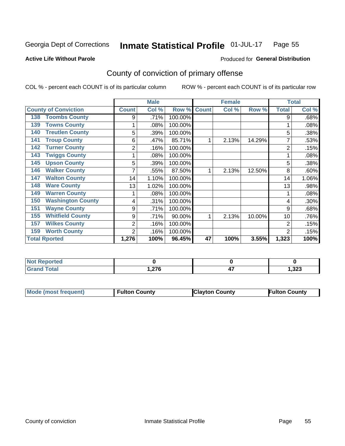#### Inmate Statistical Profile 01-JUL-17 Page 55

Produced for General Distribution

### **Active Life Without Parole**

## County of conviction of primary offense

COL % - percent each COUNT is of its particular column

|                                 |              | <b>Male</b> |         |              | <b>Female</b> |        |                | <b>Total</b> |
|---------------------------------|--------------|-------------|---------|--------------|---------------|--------|----------------|--------------|
| <b>County of Conviction</b>     | <b>Count</b> | Col %       | Row %   | <b>Count</b> | Col %         | Row %  | <b>Total</b>   | Col %        |
| <b>Toombs County</b><br>138     | 9            | .71%        | 100.00% |              |               |        | 9              | .68%         |
| <b>Towns County</b><br>139      |              | .08%        | 100.00% |              |               |        |                | .08%         |
| <b>Treutlen County</b><br>140   | 5            | .39%        | 100.00% |              |               |        | 5              | .38%         |
| <b>Troup County</b><br>141      | 6            | .47%        | 85.71%  |              | 2.13%         | 14.29% | 7              | .53%         |
| <b>Turner County</b><br>142     | 2            | .16%        | 100.00% |              |               |        | 2              | .15%         |
| <b>Twiggs County</b><br>143     |              | .08%        | 100.00% |              |               |        |                | .08%         |
| <b>Upson County</b><br>145      | 5            | .39%        | 100.00% |              |               |        | 5              | .38%         |
| <b>Walker County</b><br>146     |              | .55%        | 87.50%  |              | 2.13%         | 12.50% | 8              | .60%         |
| <b>Walton County</b><br>147     | 14           | 1.10%       | 100.00% |              |               |        | 14             | 1.06%        |
| <b>Ware County</b><br>148       | 13           | 1.02%       | 100.00% |              |               |        | 13             | .98%         |
| <b>Warren County</b><br>149     |              | .08%        | 100.00% |              |               |        |                | .08%         |
| <b>Washington County</b><br>150 | 4            | .31%        | 100.00% |              |               |        | 4              | .30%         |
| <b>Wayne County</b><br>151      | 9            | .71%        | 100.00% |              |               |        | 9              | .68%         |
| <b>Whitfield County</b><br>155  | 9            | .71%        | 90.00%  | 1            | 2.13%         | 10.00% | 10             | .76%         |
| <b>Wilkes County</b><br>157     | 2            | .16%        | 100.00% |              |               |        | 2              | .15%         |
| <b>Worth County</b><br>159      | 2            | .16%        | 100.00% |              |               |        | $\overline{2}$ | .15%         |
| <b>Total Rported</b>            | 1,276        | 100%        | 96.45%  | 47           | 100%          | 3.55%  | 1,323          | 100%         |

| <b>Not Reported</b> |                         |          |       |
|---------------------|-------------------------|----------|-------|
| Total               | 07C<br>.11 <sub>U</sub> | --<br>., | 1,323 |

| <b>Mode (most frequent)</b> | <b>Fulton County</b> | <b>Clayton County</b> | <b>Fulton County</b> |
|-----------------------------|----------------------|-----------------------|----------------------|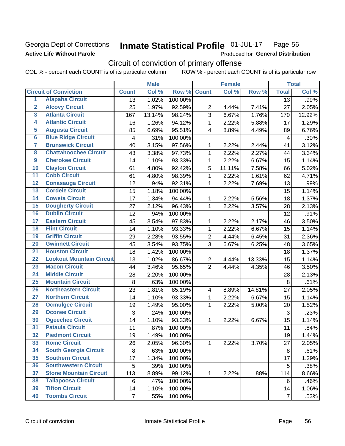### Georgia Dept of Corrections **Active Life Without Parole**

#### Inmate Statistical Profile 01-JUL-17 Page 56

Produced for General Distribution

## Circuit of conviction of primary offense

COL % - percent each COUNT is of its particular column ROW % - percent each COUNT is of its particular row

|                         |                                 |                | <b>Male</b> |         |                         | <b>Female</b> |        |                | <b>Total</b> |
|-------------------------|---------------------------------|----------------|-------------|---------|-------------------------|---------------|--------|----------------|--------------|
|                         | <b>Circuit of Conviction</b>    | <b>Count</b>   | Col %       | Row %   | <b>Count</b>            | Col %         | Row %  | <b>Total</b>   | Col %        |
| 1                       | <b>Alapaha Circuit</b>          | 13             | 1.02%       | 100.00% |                         |               |        | 13             | .99%         |
| $\overline{2}$          | <b>Alcovy Circuit</b>           | 25             | 1.97%       | 92.59%  | $\overline{2}$          | 4.44%         | 7.41%  | 27             | 2.05%        |
| $\overline{\mathbf{3}}$ | <b>Atlanta Circuit</b>          | 167            | 13.14%      | 98.24%  | 3                       | 6.67%         | 1.76%  | 170            | 12.92%       |
| 4                       | <b>Atlantic Circuit</b>         | 16             | 1.26%       | 94.12%  | $\mathbf{1}$            | 2.22%         | 5.88%  | 17             | 1.29%        |
| 5                       | <b>Augusta Circuit</b>          | 85             | 6.69%       | 95.51%  | $\overline{4}$          | 8.89%         | 4.49%  | 89             | 6.76%        |
| $\overline{6}$          | <b>Blue Ridge Circuit</b>       | 4              | .31%        | 100.00% |                         |               |        | 4              | .30%         |
| 7                       | <b>Brunswick Circuit</b>        | 40             | 3.15%       | 97.56%  | 1                       | 2.22%         | 2.44%  | 41             | 3.12%        |
| $\overline{\mathbf{8}}$ | <b>Chattahoochee Circuit</b>    | 43             | 3.38%       | 97.73%  | $\mathbf{1}$            | 2.22%         | 2.27%  | 44             | 3.34%        |
| $\overline{9}$          | <b>Cherokee Circuit</b>         | 14             | 1.10%       | 93.33%  | $\mathbf{1}$            | 2.22%         | 6.67%  | 15             | 1.14%        |
| 10                      | <b>Clayton Circuit</b>          | 61             | 4.80%       | 92.42%  | 5                       | 11.11%        | 7.58%  | 66             | 5.02%        |
| $\overline{11}$         | <b>Cobb Circuit</b>             | 61             | 4.80%       | 98.39%  | $\mathbf{1}$            | 2.22%         | 1.61%  | 62             | 4.71%        |
| $\overline{12}$         | <b>Conasauga Circuit</b>        | 12             | .94%        | 92.31%  | 1                       | 2.22%         | 7.69%  | 13             | .99%         |
| 13                      | <b>Cordele Circuit</b>          | 15             | 1.18%       | 100.00% |                         |               |        | 15             | 1.14%        |
| $\overline{14}$         | <b>Coweta Circuit</b>           | 17             | 1.34%       | 94.44%  | $\mathbf{1}$            | 2.22%         | 5.56%  | 18             | 1.37%        |
| 15                      | <b>Dougherty Circuit</b>        | 27             | 2.12%       | 96.43%  | $\mathbf 1$             | 2.22%         | 3.57%  | 28             | 2.13%        |
| 16                      | <b>Dublin Circuit</b>           | 12             | .94%        | 100.00% |                         |               |        | 12             | .91%         |
| 17                      | <b>Eastern Circuit</b>          | 45             | 3.54%       | 97.83%  | 1                       | 2.22%         | 2.17%  | 46             | 3.50%        |
| 18                      | <b>Flint Circuit</b>            | 14             | 1.10%       | 93.33%  | $\mathbf{1}$            | 2.22%         | 6.67%  | 15             | 1.14%        |
| 19                      | <b>Griffin Circuit</b>          | 29             | 2.28%       | 93.55%  | $\overline{2}$          | 4.44%         | 6.45%  | 31             | 2.36%        |
| 20                      | <b>Gwinnett Circuit</b>         | 45             | 3.54%       | 93.75%  | 3                       | 6.67%         | 6.25%  | 48             | 3.65%        |
| $\overline{21}$         | <b>Houston Circuit</b>          | 18             | 1.42%       | 100.00% |                         |               |        | 18             | 1.37%        |
| $\overline{22}$         | <b>Lookout Mountain Circuit</b> | 13             | 1.02%       | 86.67%  | $\overline{2}$          | 4.44%         | 13.33% | 15             | 1.14%        |
| 23                      | <b>Macon Circuit</b>            | 44             | 3.46%       | 95.65%  | $\overline{2}$          | 4.44%         | 4.35%  | 46             | 3.50%        |
| $\overline{24}$         | <b>Middle Circuit</b>           | 28             | 2.20%       | 100.00% |                         |               |        | 28             | 2.13%        |
| 25                      | <b>Mountain Circuit</b>         | 8              | .63%        | 100.00% |                         |               |        | $\,8\,$        | .61%         |
| 26                      | <b>Northeastern Circuit</b>     | 23             | 1.81%       | 85.19%  | $\overline{\mathbf{4}}$ | 8.89%         | 14.81% | 27             | 2.05%        |
| $\overline{27}$         | <b>Northern Circuit</b>         | 14             | 1.10%       | 93.33%  | $\mathbf{1}$            | 2.22%         | 6.67%  | 15             | 1.14%        |
| 28                      | <b>Ocmulgee Circuit</b>         | 19             | 1.49%       | 95.00%  | 1                       | 2.22%         | 5.00%  | 20             | 1.52%        |
| 29                      | <b>Oconee Circuit</b>           | 3              | .24%        | 100.00% |                         |               |        | 3              | .23%         |
| 30                      | <b>Ogeechee Circuit</b>         | 14             | 1.10%       | 93.33%  | 1                       | 2.22%         | 6.67%  | 15             | 1.14%        |
| $\overline{31}$         | <b>Pataula Circuit</b>          | 11             | .87%        | 100.00% |                         |               |        | 11             | .84%         |
| 32                      | <b>Piedmont Circuit</b>         | 19             | 1.49%       | 100.00% |                         |               |        | 19             | 1.44%        |
| 33                      | <b>Rome Circuit</b>             | 26             | 2.05%       | 96.30%  | $\mathbf{1}$            | 2.22%         | 3.70%  | 27             | 2.05%        |
| 34                      | <b>South Georgia Circuit</b>    | 8              | .63%        | 100.00% |                         |               |        | 8              | .61%         |
| 35                      | <b>Southern Circuit</b>         | 17             | 1.34%       | 100.00% |                         |               |        | 17             | 1.29%        |
| 36                      | <b>Southwestern Circuit</b>     | 5              | .39%        | 100.00% |                         |               |        | 5              | .38%         |
| 37                      | <b>Stone Mountain Circuit</b>   | 113            | 8.89%       | 99.12%  | 1                       | 2.22%         | .88%   | 114            | 8.66%        |
| 38                      | <b>Tallapoosa Circuit</b>       | 6              | .47%        | 100.00% |                         |               |        | 6              | .46%         |
| 39                      | <b>Tifton Circuit</b>           | 14             | 1.10%       | 100.00% |                         |               |        | 14             | 1.06%        |
| 40                      | <b>Toombs Circuit</b>           | $\overline{7}$ | .55%        | 100.00% |                         |               |        | $\overline{7}$ | .53%         |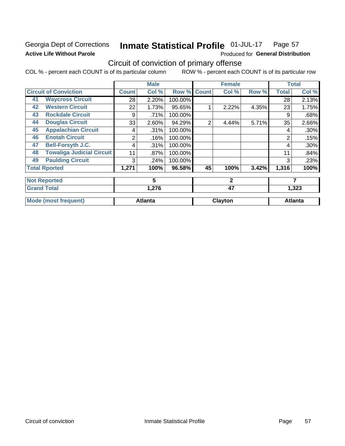## Georgia Dept of Corrections **Active Life Without Parole**

#### Inmate Statistical Profile 01-JUL-17 Page 57

Produced for General Distribution

## Circuit of conviction of primary offense

COL % - percent each COUNT is of its particular column ROW % - percent each COUNT is of its particular row

|    |                                  |       | <b>Male</b>    |         |                | <b>Female</b> |       |              | <b>Total</b>   |
|----|----------------------------------|-------|----------------|---------|----------------|---------------|-------|--------------|----------------|
|    | <b>Circuit of Conviction</b>     | Count | Col %          | Row %   | <b>Count</b>   | Col %         | Row % | <b>Total</b> | Col %          |
| 41 | <b>Waycross Circuit</b>          | 28    | 2.20%          | 100.00% |                |               |       | 28           | 2.13%          |
| 42 | <b>Western Circuit</b>           | 22    | 1.73%          | 95.65%  |                | 2.22%         | 4.35% | 23           | 1.75%          |
| 43 | <b>Rockdale Circuit</b>          | 9     | .71%           | 100.00% |                |               |       | 9            | .68%           |
| 44 | <b>Douglas Circuit</b>           | 33    | 2.60%          | 94.29%  | $\overline{2}$ | 4.44%         | 5.71% | 35           | 2.66%          |
| 45 | <b>Appalachian Circuit</b>       | 4     | .31%           | 100.00% |                |               |       | 4            | .30%           |
| 46 | <b>Enotah Circuit</b>            | 2     | .16%           | 100.00% |                |               |       | 2            | .15%           |
| 47 | <b>Bell-Forsyth J.C.</b>         | 4     | .31%           | 100.00% |                |               |       | 4            | .30%           |
| 48 | <b>Towaliga Judicial Circuit</b> | 11    | .87%           | 100.00% |                |               |       | 11           | .84%           |
| 49 | <b>Paulding Circuit</b>          | 3     | .24%           | 100.00% |                |               |       | 3            | .23%           |
|    | <b>Total Rported</b>             | 1,271 | 100%           | 96.58%  | 45             | 100%          | 3.42% | 1,316        | 100%           |
|    | <b>Not Reported</b>              |       | 5              |         |                | $\mathbf{2}$  |       |              | 7              |
|    | <b>Grand Total</b>               |       | 1,276          |         |                | 47            |       |              | 1,323          |
|    | <b>Mode (most frequent)</b>      |       | <b>Atlanta</b> |         |                | Clayton       |       |              | <b>Atlanta</b> |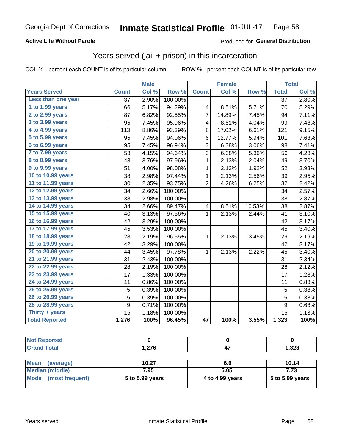### **Active Life Without Parole**

### Produced for General Distribution

## Years served (jail + prison) in this incarceration

COL % - percent each COUNT is of its particular column

|                       |              | <b>Male</b> |         |                 | <b>Female</b> |        |                 | <b>Total</b> |
|-----------------------|--------------|-------------|---------|-----------------|---------------|--------|-----------------|--------------|
| <b>Years Served</b>   | <b>Count</b> | Col %       | Row %   | <b>Count</b>    | Col %         | Row %  | <b>Total</b>    | Col %        |
| Less than one year    | 37           | 2.90%       | 100.00% |                 |               |        | $\overline{37}$ | 2.80%        |
| 1 to 1.99 years       | 66           | 5.17%       | 94.29%  | 4               | 8.51%         | 5.71%  | 70              | 5.29%        |
| 2 to 2.99 years       | 87           | 6.82%       | 92.55%  | $\overline{7}$  | 14.89%        | 7.45%  | 94              | 7.11%        |
| 3 to 3.99 years       | 95           | 7.45%       | 95.96%  | 4               | 8.51%         | 4.04%  | 99              | 7.48%        |
| 4 to 4.99 years       | 113          | 8.86%       | 93.39%  | 8               | 17.02%        | 6.61%  | 121             | 9.15%        |
| 5 to 5.99 years       | 95           | 7.45%       | 94.06%  | 6               | 12.77%        | 5.94%  | 101             | 7.63%        |
| 6 to 6.99 years       | 95           | 7.45%       | 96.94%  | 3               | 6.38%         | 3.06%  | 98              | 7.41%        |
| 7 to 7.99 years       | 53           | 4.15%       | 94.64%  | 3               | 6.38%         | 5.36%  | 56              | 4.23%        |
| 8 to 8.99 years       | 48           | 3.76%       | 97.96%  | $\mathbf 1$     | 2.13%         | 2.04%  | 49              | 3.70%        |
| 9 to 9.99 years       | 51           | 4.00%       | 98.08%  | 1               | 2.13%         | 1.92%  | 52              | 3.93%        |
| 10 to 10.99 years     | 38           | 2.98%       | 97.44%  | 1               | 2.13%         | 2.56%  | 39              | 2.95%        |
| 11 to 11.99 years     | 30           | 2.35%       | 93.75%  | $\overline{2}$  | 4.26%         | 6.25%  | 32              | 2.42%        |
| 12 to 12.99 years     | 34           | 2.66%       | 100.00% |                 |               |        | 34              | 2.57%        |
| 13 to 13.99 years     | 38           | 2.98%       | 100.00% |                 |               |        | 38              | 2.87%        |
| 14 to 14.99 years     | 34           | 2.66%       | 89.47%  | 4               | 8.51%         | 10.53% | 38              | 2.87%        |
| 15 to 15.99 years     | 40           | 3.13%       | 97.56%  | 1               | 2.13%         | 2.44%  | 41              | 3.10%        |
| 16 to 16.99 years     | 42           | 3.29%       | 100.00% |                 |               |        | 42              | 3.17%        |
| 17 to 17.99 years     | 45           | 3.53%       | 100.00% |                 |               |        | 45              | 3.40%        |
| 18 to 18.99 years     | 28           | 2.19%       | 96.55%  | 1               | 2.13%         | 3.45%  | 29              | 2.19%        |
| 19 to 19.99 years     | 42           | 3.29%       | 100.00% |                 |               |        | 42              | 3.17%        |
| 20 to 20.99 years     | 44           | 3.45%       | 97.78%  | 1               | 2.13%         | 2.22%  | 45              | 3.40%        |
| 21 to 21.99 years     | 31           | 2.43%       | 100.00% |                 |               |        | 31              | 2.34%        |
| 22 to 22.99 years     | 28           | 2.19%       | 100.00% |                 |               |        | 28              | 2.12%        |
| 23 to 23.99 years     | 17           | 1.33%       | 100.00% |                 |               |        | 17              | 1.28%        |
| 24 to 24.99 years     | 11           | 0.86%       | 100.00% |                 |               |        | 11              | 0.83%        |
| 25 to 25.99 years     | 5            | 0.39%       | 100.00% |                 |               |        | 5               | 0.38%        |
| 26 to 26.99 years     | 5            | 0.39%       | 100.00% |                 |               |        | $\overline{5}$  | 0.38%        |
| 28 to 28.99 years     | 9            | 0.71%       | 100.00% |                 |               |        | 9               | 0.68%        |
| Thirty + years        | 15           | 1.18%       | 100.00% |                 |               |        | 15              | 1.13%        |
| <b>Total Reported</b> | 1,276        | 100%        | 96.45%  | $\overline{47}$ | 100%          | 3.55%  | 1,323           | 100%         |

| _____ | $\sim$ | ົາງາ<br>د∡د, ו<br>- - |
|-------|--------|-----------------------|

| Mean<br>(average)    | 10.27           | 6.6             | 10.14           |
|----------------------|-----------------|-----------------|-----------------|
| Median (middle)      | 7.95            | 5.05            | 7.73            |
| Mode (most frequent) | 5 to 5.99 years | 4 to 4.99 years | 5 to 5.99 years |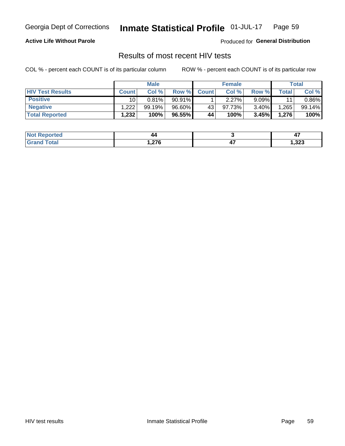#### Inmate Statistical Profile 01-JUL-17 Page 59

### **Active Life Without Parole**

Produced for General Distribution

## Results of most recent HIV tests

COL % - percent each COUNT is of its particular column

|                         | <b>Male</b>  |        |        | <b>Female</b> |        |          | Total       |          |
|-------------------------|--------------|--------|--------|---------------|--------|----------|-------------|----------|
| <b>HIV Test Results</b> | <b>Count</b> | Col%   | Row %I | <b>Count</b>  | Col %  | Row %    | $\tau$ otal | Col %    |
| <b>Positive</b>         | 10           | 0.81%  | 90.91% |               | 2.27%  | $9.09\%$ | 11          | $0.86\%$ |
| <b>Negative</b>         | .222         | 99.19% | 96.60% | 43            | 97.73% | $3.40\%$ | .265        | 99.14%   |
| <b>Total Reported</b>   | .232         | 100%   | 96.55% | 44            | 100%   | 3.45%    | 1,276       | 100%     |

| <b>Not Reported</b> | 44   | - 1  |
|---------------------|------|------|
| <b>Fotal</b>        | .276 | ,323 |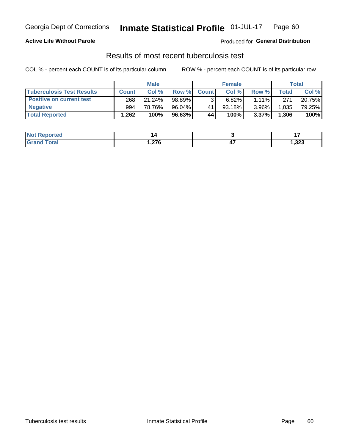## Georgia Dept of Corrections **Inmate Statistical Profile** 01-JUL-17 Page 60

### **Active Life Without Parole**

Produced for **General Distribution**

### Results of most recent tuberculosis test

COL % - percent each COUNT is of its particular column ROW % - percent each COUNT is of its particular row

|                                  | <b>Male</b>  |        |        |              | <b>Female</b> | Total    |              |        |
|----------------------------------|--------------|--------|--------|--------------|---------------|----------|--------------|--------|
| <b>Tuberculosis Test Results</b> | <b>Count</b> | Col%   | Row %I | <b>Count</b> | Col %         | Row %I   | <b>Total</b> | Col %  |
| <b>Positive on current test</b>  | 268          | 21.24% | 98.89% |              | 6.82%         | $1.11\%$ | 271          | 20.75% |
| <b>Negative</b>                  | 994          | 78.76% | 96.04% | 41           | $93.18\%$     | 3.96%    | 1,035        | 79.25% |
| <b>Total Reported</b>            | .262         | 100%   | 96.63% | 44           | 100%          | 3.37%    | 1,306        | 100%   |

| <b>Not Reported</b>              |      | . .   |
|----------------------------------|------|-------|
| <b>Fotal</b><br>Gra <sup>r</sup> | ,276 | 1,323 |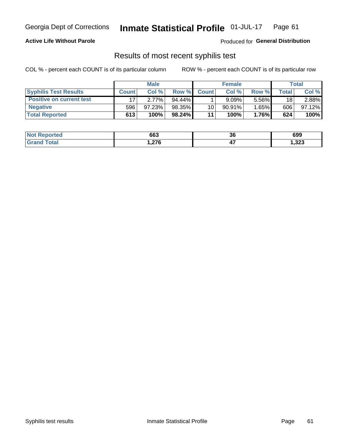## Georgia Dept of Corrections **Inmate Statistical Profile** 01-JUL-17 Page 61

### **Active Life Without Parole**

Produced for **General Distribution**

### Results of most recent syphilis test

COL % - percent each COUNT is of its particular column ROW % - percent each COUNT is of its particular row

|                                 | <b>Male</b>  |           |           | <b>Female</b>   |           |          | Total |        |
|---------------------------------|--------------|-----------|-----------|-----------------|-----------|----------|-------|--------|
| <b>Syphilis Test Results</b>    | <b>Count</b> | Col%      | Row %I    | <b>Count</b>    | Col %     | Row %    | Total | Col %  |
| <b>Positive on current test</b> |              | 2.77%     | $94.44\%$ |                 | 9.09%     | $5.56\%$ | 18    | 2.88%  |
| <b>Negative</b>                 | 596          | $97.23\%$ | 98.35%    | 10 <sub>1</sub> | $90.91\%$ | 1.65%    | 606   | 97.12% |
| <b>Total Reported</b>           | 613          | 100%      | $98.24\%$ | 11              | 100%      | 1.76%    | 624   | 100%   |

| <b>Not Reported</b> | 663    | 36 | 699   |
|---------------------|--------|----|-------|
| <b>Grand Total</b>  | 276, ا | −. | 1,323 |